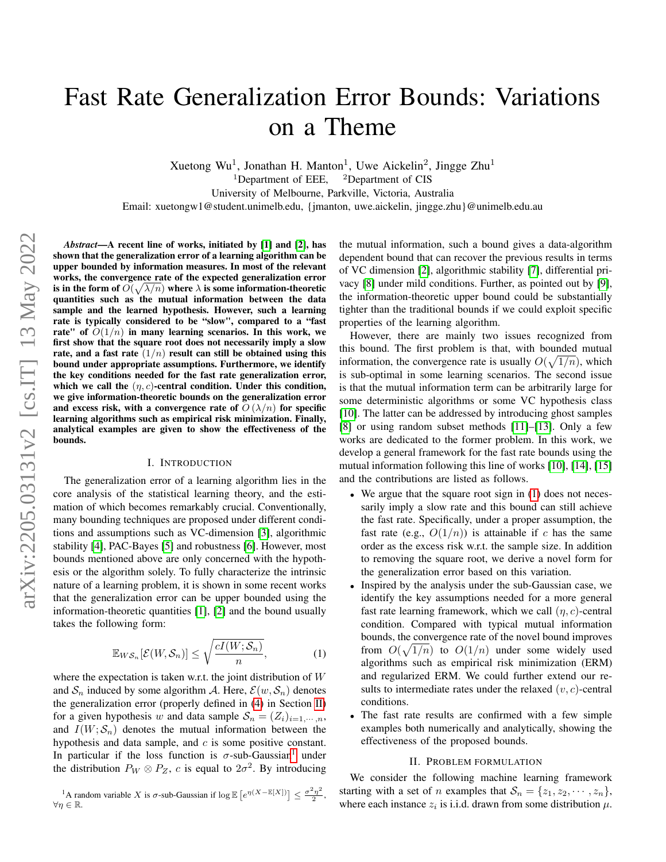# Fast Rate Generalization Error Bounds: Variations on a Theme

Xuetong Wu<sup>1</sup>, Jonathan H. Manton<sup>1</sup>, Uwe Aickelin<sup>2</sup>, Jingge Zhu<sup>1</sup> <sup>1</sup>Department of EEE, <sup>2</sup>Department of CIS University of Melbourne, Parkville, Victoria, Australia

Email: xuetongw1@student.unimelb.edu, {jmanton, uwe.aickelin, jingge.zhu}@unimelb.edu.au

*Abstract*—A recent line of works, initiated by [\[1\]](#page-5-0) and [\[2\]](#page-5-1), has shown that the generalization error of a learning algorithm can be upper bounded by information measures. In most of the relevant works, the convergence rate of the expected generalization error is in the form of  $O(\sqrt{\lambda/n})$  where  $\lambda$  is some information-theoretic quantities such as the mutual information between the data sample and the learned hypothesis. However, such a learning rate is typically considered to be "slow", compared to a "fast rate" of  $O(1/n)$  in many learning scenarios. In this work, we first show that the square root does not necessarily imply a slow rate, and a fast rate  $(1/n)$  result can still be obtained using this bound under appropriate assumptions. Furthermore, we identify the key conditions needed for the fast rate generalization error, which we call the  $(\eta, c)$ -central condition. Under this condition, we give information-theoretic bounds on the generalization error and excess risk, with a convergence rate of  $O(\lambda/n)$  for specific learning algorithms such as empirical risk minimization. Finally, analytical examples are given to show the effectiveness of the bounds.

#### I. INTRODUCTION

The generalization error of a learning algorithm lies in the core analysis of the statistical learning theory, and the estimation of which becomes remarkably crucial. Conventionally, many bounding techniques are proposed under different conditions and assumptions such as VC-dimension [\[3\]](#page-5-2), algorithmic stability [\[4\]](#page-5-3), PAC-Bayes [\[5\]](#page-5-4) and robustness [\[6\]](#page-5-5). However, most bounds mentioned above are only concerned with the hypothesis or the algorithm solely. To fully characterize the intrinsic nature of a learning problem, it is shown in some recent works that the generalization error can be upper bounded using the information-theoretic quantities [\[1\]](#page-5-0), [\[2\]](#page-5-1) and the bound usually takes the following form:

$$
\mathbb{E}_{WS_n}[\mathcal{E}(W,\mathcal{S}_n)] \le \sqrt{\frac{cI(W;\mathcal{S}_n)}{n}},\tag{1}
$$

where the expectation is taken w.r.t. the joint distribution of  $W$ and  $S_n$  induced by some algorithm A. Here,  $\mathcal{E}(w, S_n)$  denotes the generalization error (properly defined in [\(4\)](#page-1-0) in Section [II\)](#page-0-0) for a given hypothesis w and data sample  $S_n = (Z_i)_{i=1,\dots,n}$ , and  $I(W; S_n)$  denotes the mutual information between the hypothesis and data sample, and  $c$  is some positive constant. In particular if the loss function is  $\sigma$ -sub-Gaussian<sup>[1](#page-0-1)</sup> under the distribution  $P_W \otimes P_Z$ , c is equal to  $2\sigma^2$ . By introducing

<span id="page-0-1"></span><sup>1</sup>A random variable X is  $\sigma$ -sub-Gaussian if  $\log \mathbb{E}\left[e^{\eta(X-\mathbb{E}[X])}\right] \leq \frac{\sigma^2 \eta^2}{2}$  $\frac{\eta}{2}$ ,  $\forall \eta \in \mathbb{R}$ .

the mutual information, such a bound gives a data-algorithm dependent bound that can recover the previous results in terms of VC dimension [\[2\]](#page-5-1), algorithmic stability [\[7\]](#page-5-6), differential privacy [\[8\]](#page-5-7) under mild conditions. Further, as pointed out by [\[9\]](#page-5-8), the information-theoretic upper bound could be substantially tighter than the traditional bounds if we could exploit specific properties of the learning algorithm.

However, there are mainly two issues recognized from this bound. The first problem is that, with bounded mutual information, the convergence rate is usually  $O(\sqrt{1/n})$ , which is sub-optimal in some learning scenarios. The second issue is that the mutual information term can be arbitrarily large for some deterministic algorithms or some VC hypothesis class [\[10\]](#page-5-9). The latter can be addressed by introducing ghost samples [\[8\]](#page-5-7) or using random subset methods [\[11\]](#page-5-10)–[\[13\]](#page-5-11). Only a few works are dedicated to the former problem. In this work, we develop a general framework for the fast rate bounds using the mutual information following this line of works [\[10\]](#page-5-9), [\[14\]](#page-5-12), [\[15\]](#page-5-13) and the contributions are listed as follows.

- We argue that the square root sign in [\(1\)](#page-0-2) does not necessarily imply a slow rate and this bound can still achieve the fast rate. Specifically, under a proper assumption, the fast rate (e.g.,  $O(1/n)$ ) is attainable if c has the same order as the excess risk w.r.t. the sample size. In addition to removing the square root, we derive a novel form for the generalization error based on this variation.
- <span id="page-0-2"></span>• Inspired by the analysis under the sub-Gaussian case, we identify the key assumptions needed for a more general fast rate learning framework, which we call  $(\eta, c)$ -central condition. Compared with typical mutual information bounds, the convergence rate of the novel bound improves from  $O(\sqrt{1/n})$  to  $O(1/n)$  under some widely used algorithms such as empirical risk minimization (ERM) and regularized ERM. We could further extend our results to intermediate rates under the relaxed  $(v, c)$ -central conditions.
- The fast rate results are confirmed with a few simple examples both numerically and analytically, showing the effectiveness of the proposed bounds.

#### II. PROBLEM FORMULATION

<span id="page-0-0"></span>We consider the following machine learning framework starting with a set of *n* examples that  $S_n = \{z_1, z_2, \dots, z_n\},\$ where each instance  $z_i$  is i.i.d. drawn from some distribution  $\mu$ .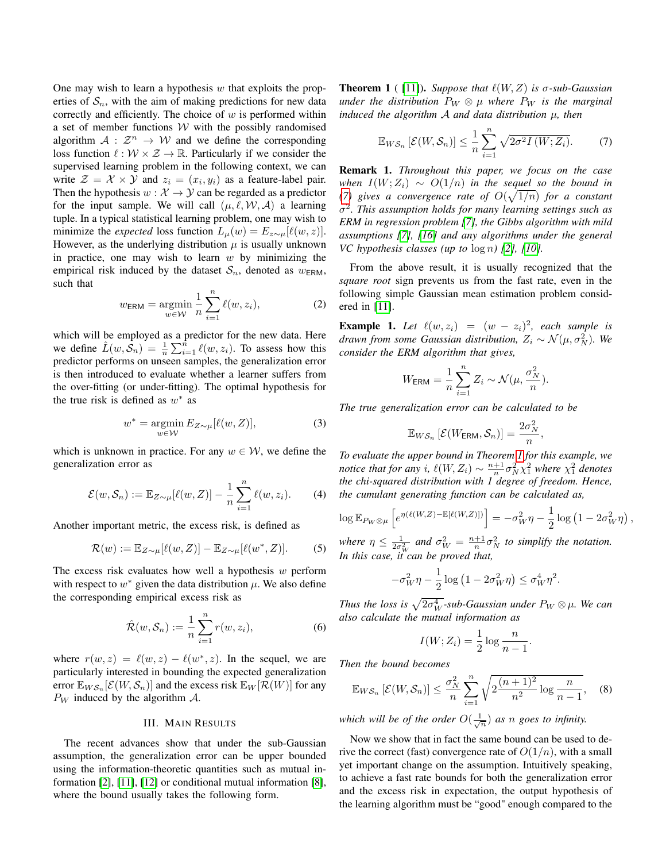One may wish to learn a hypothesis  $w$  that exploits the properties of  $S_n$ , with the aim of making predictions for new data correctly and efficiently. The choice of  $w$  is performed within a set of member functions  $W$  with the possibly randomised algorithm  $A: \mathbb{Z}^n \to W$  and we define the corresponding loss function  $\ell : \mathcal{W} \times \mathcal{Z} \to \mathbb{R}$ . Particularly if we consider the supervised learning problem in the following context, we can write  $\mathcal{Z} = \mathcal{X} \times \mathcal{Y}$  and  $z_i = (x_i, y_i)$  as a feature-label pair. Then the hypothesis  $w : \mathcal{X} \to \mathcal{Y}$  can be regarded as a predictor for the input sample. We will call  $(\mu, \ell, \mathcal{W}, \mathcal{A})$  a learning tuple. In a typical statistical learning problem, one may wish to minimize the *expected* loss function  $L_{\mu}(w) = E_{z \sim \mu}[\ell(w, z)].$ However, as the underlying distribution  $\mu$  is usually unknown in practice, one may wish to learn  $w$  by minimizing the empirical risk induced by the dataset  $S_n$ , denoted as  $w_{\text{ERM}}$ , such that

$$
w_{\text{ERM}} = \underset{w \in \mathcal{W}}{\operatorname{argmin}} \frac{1}{n} \sum_{i=1}^{n} \ell(w, z_i), \tag{2}
$$

which will be employed as a predictor for the new data. Here we define  $\hat{L}(w, \hat{S}_n) = \frac{1}{n} \sum_{i=1}^n \ell(w, z_i)$ . To assess how this predictor performs on unseen samples, the generalization error is then introduced to evaluate whether a learner suffers from the over-fitting (or under-fitting). The optimal hypothesis for the true risk is defined as  $w^*$  as

<span id="page-1-0"></span>
$$
w^* = \underset{w \in \mathcal{W}}{\operatorname{argmin}} E_{Z \sim \mu} [\ell(w, Z)],\tag{3}
$$

which is unknown in practice. For any  $w \in \mathcal{W}$ , we define the generalization error as

$$
\mathcal{E}(w,\mathcal{S}_n) := \mathbb{E}_{Z \sim \mu}[\ell(w,Z)] - \frac{1}{n} \sum_{i=1}^n \ell(w,z_i). \tag{4}
$$

Another important metric, the excess risk, is defined as

$$
\mathcal{R}(w) := \mathbb{E}_{Z \sim \mu} [\ell(w, Z)] - \mathbb{E}_{Z \sim \mu} [\ell(w^*, Z)].
$$
 (5)

The excess risk evaluates how well a hypothesis  $w$  perform with respect to  $w^*$  given the data distribution  $\mu$ . We also define the corresponding empirical excess risk as

$$
\hat{\mathcal{R}}(w,\mathcal{S}_n) := \frac{1}{n} \sum_{i=1}^n r(w,z_i),\tag{6}
$$

where  $r(w, z) = \ell(w, z) - \ell(w^*, z)$ . In the sequel, we are particularly interested in bounding the expected generalization error  $\mathbb{E}_{WS_n}[\mathcal{E}(W,\mathcal{S}_n)]$  and the excess risk  $\mathbb{E}_W[\mathcal{R}(W)]$  for any  $P_W$  induced by the algorithm  $\mathcal{A}$ .

#### III. MAIN RESULTS

The recent advances show that under the sub-Gaussian assumption, the generalization error can be upper bounded using the information-theoretic quantities such as mutual information [\[2\]](#page-5-1), [\[11\]](#page-5-10), [\[12\]](#page-5-14) or conditional mutual information [\[8\]](#page-5-7), where the bound usually takes the following form.

<span id="page-1-2"></span>**Theorem 1** ( [\[11\]](#page-5-10)). *Suppose that*  $\ell(W, Z)$  *is*  $\sigma$ -sub-Gaussian *under the distribution*  $P_W \otimes \mu$  *where*  $P_W$  *is the marginal induced the algorithm* A *and data distribution* µ*, then*

<span id="page-1-1"></span>
$$
\mathbb{E}_{WS_n}\left[\mathcal{E}(W,\mathcal{S}_n)\right] \leq \frac{1}{n}\sum_{i=1}^n \sqrt{2\sigma^2 I(W;Z_i)}.
$$
 (7)

Remark 1. *Throughout this paper, we focus on the case when*  $I(W; Z_i) \sim O(1/n)$  *in the sequel so the bound in* [\(7\)](#page-1-1) gives a convergence rate of  $O(\sqrt{1/n})$  for a constant σ 2 *. This assumption holds for many learning settings such as ERM in regression problem [\[7\]](#page-5-6), the Gibbs algorithm with mild assumptions [\[7\]](#page-5-6), [\[16\]](#page-5-15) and any algorithms under the general VC* hypothesis classes (up to  $\log n$ ) [\[2\]](#page-5-1), [\[10\]](#page-5-9).

From the above result, it is usually recognized that the *square root* sign prevents us from the fast rate, even in the following simple Gaussian mean estimation problem considered in [\[11\]](#page-5-10).

<span id="page-1-3"></span>**Example 1.** Let  $\ell(w, z_i) = (w - z_i)^2$ , each sample is *drawn from some Gaussian distribution,*  $Z_i \sim \mathcal{N}(\mu, \sigma_N^2)$ . We *consider the ERM algorithm that gives,*

$$
W_{\text{ERM}} = \frac{1}{n} \sum_{i=1}^{n} Z_i \sim \mathcal{N}(\mu, \frac{\sigma_N^2}{n}).
$$

*The true generalization error can be calculated to be*

$$
\mathbb{E}_{WS_n}\left[\mathcal{E}(W_{\text{ERM}},\mathcal{S}_n)\right] = \frac{2\sigma_N^2}{n},
$$

*To evaluate the upper bound in Theorem [1](#page-1-2) for this example, we notice that for any i,*  $\ell(W, Z_i) \sim \frac{n+1}{n} \sigma_N^2 \chi_1^2$  *where*  $\chi_1^2$  *denotes the chi-squared distribution with 1 degree of freedom. Hence, the cumulant generating function can be calculated as,*

$$
\log \mathbb{E}_{P_W \otimes \mu} \left[ e^{\eta(\ell(W,Z) - \mathbb{E}[\ell(W,Z)])} \right] = -\sigma_W^2 \eta - \frac{1}{2} \log \left( 1 - 2\sigma_W^2 \eta \right),
$$

*where*  $\eta \leq \frac{1}{2\sigma_W^2}$  and  $\sigma_W^2 = \frac{n+1}{n} \sigma_N^2$  to simplify the notation. *In this case, it can be proved that,*

$$
-\sigma_W^2 \eta - \frac{1}{2} \log \left( 1 - 2 \sigma_W^2 \eta \right) \le \sigma_W^4 \eta^2.
$$

*Thus the loss is*  $\sqrt{2\sigma_W^4}$ -sub-Gaussian under  $P_W \otimes \mu$ . We can *also calculate the mutual information as*

$$
I(W; Z_i) = \frac{1}{2} \log \frac{n}{n-1}.
$$

*Then the bound becomes*

$$
\mathbb{E}_{WS_n}\left[\mathcal{E}(W,\mathcal{S}_n)\right] \le \frac{\sigma_N^2}{n} \sum_{i=1}^n \sqrt{2\frac{(n+1)^2}{n^2}\log\frac{n}{n-1}},\quad (8)
$$

*which will be of the order*  $O(\frac{1}{\sqrt{n}})$  *as n goes to infinity.* 

Now we show that in fact the same bound can be used to derive the correct (fast) convergence rate of  $O(1/n)$ , with a small yet important change on the assumption. Intuitively speaking, to achieve a fast rate bounds for both the generalization error and the excess risk in expectation, the output hypothesis of the learning algorithm must be "good" enough compared to the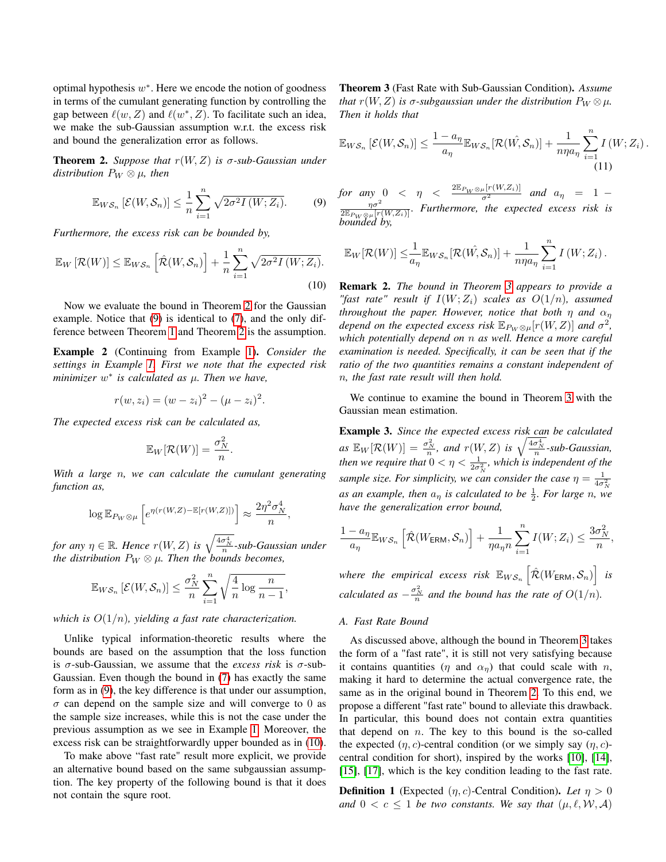optimal hypothesis  $w^*$ . Here we encode the notion of goodness in terms of the cumulant generating function by controlling the gap between  $\ell(w, Z)$  and  $\ell(w^*, Z)$ . To facilitate such an idea, we make the sub-Gaussian assumption w.r.t. the excess risk and bound the generalization error as follows.

<span id="page-2-0"></span>**Theorem 2.** *Suppose that*  $r(W, Z)$  *is*  $\sigma$ -sub-Gaussian under *distribution*  $P_W \otimes \mu$ *, then* 

$$
\mathbb{E}_{W\mathcal{S}_n}\left[\mathcal{E}(W,\mathcal{S}_n)\right] \leq \frac{1}{n}\sum_{i=1}^n \sqrt{2\sigma^2 I\left(W;Z_i\right)}.
$$
 (9)

*Furthermore, the excess risk can be bounded by,*

$$
\mathbb{E}_W\left[\mathcal{R}(W)\right] \leq \mathbb{E}_{WS_n}\left[\hat{\mathcal{R}}(W,\mathcal{S}_n)\right] + \frac{1}{n} \sum_{i=1}^n \sqrt{2\sigma^2 I\left(W;Z_i\right)}.
$$
\n(10)

Now we evaluate the bound in Theorem [2](#page-2-0) for the Gaussian example. Notice that [\(9\)](#page-2-1) is identical to [\(7\)](#page-1-1), and the only difference between Theorem [1](#page-1-2) and Theorem [2](#page-2-0) is the assumption.

Example 2 (Continuing from Example [1\)](#page-1-3). *Consider the settings in Example [1.](#page-1-3) First we note that the expected risk minimizer* w ∗ *is calculated as* µ*. Then we have,*

$$
r(w, z_i) = (w - z_i)^2 - (\mu - z_i)^2.
$$

*The expected excess risk can be calculated as,*

$$
\mathbb{E}_W[\mathcal{R}(W)] = \frac{\sigma_N^2}{n}.
$$

*With a large* n*, we can calculate the cumulant generating function as,*

$$
\log \mathbb{E}_{P_W \otimes \mu} \left[ e^{\eta (r(W,Z) - \mathbb{E}[r(W,Z)])} \right] \approx \frac{2\eta^2 \sigma_N^4}{n}
$$

,

for any  $\eta \in \mathbb{R}$ . Hence  $r(W, Z)$  is  $\sqrt{\frac{4\sigma^4_N}{n}}$ -sub-Gaussian under *the distribution*  $P_W \otimes \mu$ . Then the *bounds becomes,* 

$$
\mathbb{E}_{WS_n}\left[\mathcal{E}(W,\mathcal{S}_n)\right] \leq \frac{\sigma_N^2}{n} \sum_{i=1}^n \sqrt{\frac{4}{n} \log \frac{n}{n-1}},
$$

*which is* O(1/n)*, yielding a fast rate characterization.*

Unlike typical information-theoretic results where the bounds are based on the assumption that the loss function is  $\sigma$ -sub-Gaussian, we assume that the *excess risk* is  $\sigma$ -sub-Gaussian. Even though the bound in [\(7\)](#page-1-1) has exactly the same form as in [\(9\)](#page-2-1), the key difference is that under our assumption,  $\sigma$  can depend on the sample size and will converge to 0 as the sample size increases, while this is not the case under the previous assumption as we see in Example [1.](#page-1-3) Moreover, the excess risk can be straightforwardly upper bounded as in [\(10\)](#page-2-2).

To make above "fast rate" result more explicit, we provide an alternative bound based on the same subgaussian assumption. The key property of the following bound is that it does not contain the squre root.

<span id="page-2-3"></span>Theorem 3 (Fast Rate with Sub-Gaussian Condition). *Assume that*  $r(W, Z)$  *is*  $\sigma$ *-subgaussian under the distribution*  $P_W \otimes \mu$ *. Then it holds that*

$$
\mathbb{E}_{WS_n}\left[\mathcal{E}(W,\mathcal{S}_n)\right] \leq \frac{1-a_\eta}{a_\eta} \mathbb{E}_{WS_n}[\mathcal{R}(W,\mathcal{S}_n)] + \frac{1}{n\eta a_\eta} \sum_{i=1}^n I\left(W;Z_i\right).
$$
\n(11)

 $\boldsymbol{n}$ 

<span id="page-2-1"></span>*for any*  $0 < \eta < \frac{2 \mathbb{E}_{P_W \otimes \mu}[r(W, Z_i)]}{\sigma^2}$  and  $a_{\eta} = 1 - \frac{\eta \sigma^2}{2 \mathbb{E}_{P_W \otimes \mu}[r(W, Z_i)]}$ . Furthermore, the expected excess risk is bounded by,

$$
\mathbb{E}_{W}[\mathcal{R}(W)] \leq \frac{1}{a_{\eta}} \mathbb{E}_{WS_n}[\mathcal{R}(\hat{W}, S_n)] + \frac{1}{n \eta a_{\eta}} \sum_{i=1}^n I(W; Z_i).
$$

<span id="page-2-2"></span>Remark 2. *The bound in Theorem [3](#page-2-3) appears to provide a "fast rate" result if*  $I(W; Z_i)$  *scales as*  $O(1/n)$ *, assumed throughout the paper. However, notice that both*  $\eta$  *and*  $\alpha_{\eta}$ *depend on the expected excess risk*  $\mathbb{E}_{P_W \otimes \mu}[r(W,Z)]$  and  $\sigma^2$ , *which potentially depend on* n *as well. Hence a more careful examination is needed. Specifically, it can be seen that if the ratio of the two quantities remains a constant independent of* n*, the fast rate result will then hold.*

We continue to examine the bound in Theorem [3](#page-2-3) with the Gaussian mean estimation.

<span id="page-2-4"></span>Example 3. *Since the expected excess risk can be calculated*  $as \mathbb{E}_W[\mathcal{R}(W)] = \frac{\sigma_N^2}{n}$ , and  $r(W, Z)$  *is*  $\sqrt{\frac{4\sigma_N^4}{n}}$ -sub-Gaussian, *then we require that*  $0 < \eta < \frac{1}{2\sigma_N^2}$ *, which is independent of the sample size. For simplicity, we can consider the case*  $\eta = \frac{1}{4\sigma_0^2}$ as an example, then  $a_{\eta}$  is calculated to be  $\frac{1}{2}$ . For large n, we *have the generalization error bound,*

$$
\frac{1-a_\eta}{a_\eta} \mathbb{E}_{WS_n} \left[ \hat{\mathcal{R}}(W_{\text{ERM}}, \mathcal{S}_n) \right] + \frac{1}{\eta a_\eta n} \sum_{i=1}^n I(W; Z_i) \leq \frac{3\sigma_N^2}{n},
$$

where the empirical excess risk  $\mathbb{E}_{WS_n}\left[\hat{\mathcal{R}}(W_{\text{ERM}}, \mathcal{S}_n)\right]$  is *calculated as*  $-\frac{\sigma_N^2}{n}$  *and the bound has the rate of*  $O(1/n)$ *.* 

#### *A. Fast Rate Bound*

As discussed above, although the bound in Theorem [3](#page-2-3) takes the form of a "fast rate", it is still not very satisfying because it contains quantities ( $\eta$  and  $\alpha_n$ ) that could scale with  $n$ , making it hard to determine the actual convergence rate, the same as in the original bound in Theorem [2.](#page-2-0) To this end, we propose a different "fast rate" bound to alleviate this drawback. In particular, this bound does not contain extra quantities that depend on  $n$ . The key to this bound is the so-called the expected  $(\eta, c)$ -central condition (or we simply say  $(\eta, c)$ central condition for short), inspired by the works [\[10\]](#page-5-9), [\[14\]](#page-5-12), [\[15\]](#page-5-13), [\[17\]](#page-5-16), which is the key condition leading to the fast rate.

**Definition 1** (Expected  $(\eta, c)$ -Central Condition). Let  $\eta > 0$ and  $0 < c \le 1$  *be two constants. We say that*  $(\mu, \ell, \mathcal{W}, \mathcal{A})$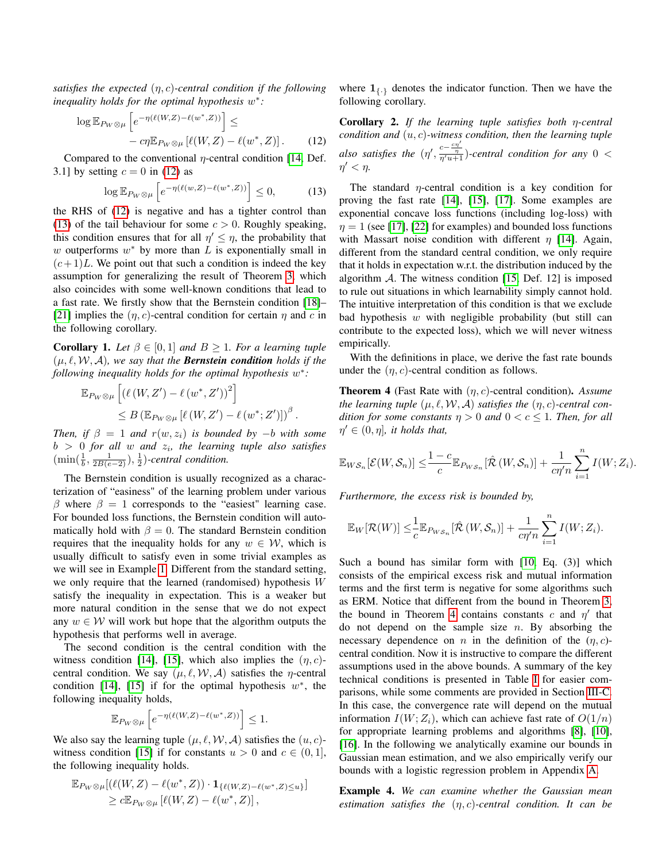*satisfies the expected* (η, c)*-central condition if the following inequality holds for the optimal hypothesis* w ∗ *:*

$$
\log \mathbb{E}_{P_W \otimes \mu} \left[ e^{-\eta(\ell(W,Z) - \ell(w^*, Z))} \right] \le -c\eta \mathbb{E}_{P_W \otimes \mu} \left[ \ell(W, Z) - \ell(w^*, Z) \right]. \tag{12}
$$

Compared to the conventional  $\eta$ -central condition [\[14,](#page-5-12) Def. 3.1] by setting  $c = 0$  in [\(12\)](#page-3-0) as

$$
\log \mathbb{E}_{P_W \otimes \mu} \left[ e^{-\eta(\ell(w,Z) - \ell(w^*,Z))} \right] \le 0, \tag{13}
$$

the RHS of [\(12\)](#page-3-0) is negative and has a tighter control than [\(13\)](#page-3-1) of the tail behaviour for some  $c > 0$ . Roughly speaking, this condition ensures that for all  $\eta' \leq \eta$ , the probability that w outperforms  $w^*$  by more than  $L$  is exponentially small in  $(c+1)L$ . We point out that such a condition is indeed the key assumption for generalizing the result of Theorem [3,](#page-2-3) which also coincides with some well-known conditions that lead to a fast rate. We firstly show that the Bernstein condition [\[18\]](#page-5-17)– [\[21\]](#page-5-18) implies the  $(\eta, c)$ -central condition for certain  $\eta$  and c in the following corollary.

<span id="page-3-3"></span>**Corollary 1.** Let  $\beta \in [0,1]$  and  $B \geq 1$ . For a learning tuple  $(\mu, \ell, \mathcal{W}, \mathcal{A})$ *, we say that the Bernstein condition holds if the* following inequality holds for the optimal hypothesis  $w^*$ :

$$
\mathbb{E}_{P_W \otimes \mu} \left[ \left( \ell \left( W, Z' \right) - \ell \left( w^*, Z' \right) \right)^2 \right] \leq B \left( \mathbb{E}_{P_W \otimes \mu} \left[ \ell \left( W, Z' \right) - \ell \left( w^*; Z' \right) \right] \right)^{\beta}.
$$

*Then, if*  $\beta = 1$  *and*  $r(w, z_i)$  *is bounded by* −*b with some* b > 0 *for all* w *and* z<sup>i</sup> *, the learning tuple also satisfies*  $(\min(\frac{1}{b}, \frac{1}{2B(e-2)}), \frac{1}{2})$ -central condition.

The Bernstein condition is usually recognized as a characterization of "easiness" of the learning problem under various β where  $β = 1$  corresponds to the "easiest" learning case. For bounded loss functions, the Bernstein condition will automatically hold with  $\beta = 0$ . The standard Bernstein condition requires that the inequality holds for any  $w \in \mathcal{W}$ , which is usually difficult to satisfy even in some trivial examples as we will see in Example [1.](#page-1-3) Different from the standard setting, we only require that the learned (randomised) hypothesis W satisfy the inequality in expectation. This is a weaker but more natural condition in the sense that we do not expect any  $w \in W$  will work but hope that the algorithm outputs the hypothesis that performs well in average.

The second condition is the central condition with the witness condition [\[14\]](#page-5-12), [\[15\]](#page-5-13), which also implies the  $(\eta, c)$ central condition. We say  $(\mu, \ell, \mathcal{W}, \mathcal{A})$  satisfies the *η*-central condition [\[14\]](#page-5-12), [\[15\]](#page-5-13) if for the optimal hypothesis  $w^*$ , the following inequality holds,

$$
\mathbb{E}_{P_W \otimes \mu} \left[ e^{-\eta(\ell(W,Z) - \ell(w^*,Z))} \right] \le 1.
$$

We also say the learning tuple  $(\mu, \ell, \mathcal{W}, \mathcal{A})$  satisfies the  $(u, c)$ -witness condition [\[15\]](#page-5-13) if for constants  $u > 0$  and  $c \in (0, 1]$ , the following inequality holds.

$$
\mathbb{E}_{P_W \otimes \mu} [(\ell(W,Z) - \ell(w^*, Z)) \cdot \mathbf{1}_{\{\ell(W,Z) - \ell(w^*, Z) \le u\}}] \ge c \mathbb{E}_{P_W \otimes \mu} [\ell(W,Z) - \ell(w^*, Z)],
$$

where  $\mathbf{1}_{\{.\}}$  denotes the indicator function. Then we have the following corollary.

<span id="page-3-4"></span><span id="page-3-0"></span>Corollary 2. *If the learning tuple satisfies both* η*-central condition and* (u, c)*-witness condition, then the learning tuple also satisfies the*  $(\eta', \frac{c - \frac{cn'}{\eta}}{n'u + 1})$ -central condition for any 0 < η  $\prime < \eta$ .

<span id="page-3-1"></span>The standard  $\eta$ -central condition is a key condition for proving the fast rate [\[14\]](#page-5-12), [\[15\]](#page-5-13), [\[17\]](#page-5-16). Some examples are exponential concave loss functions (including log-loss) with  $\eta = 1$  (see [\[17\]](#page-5-16), [\[22\]](#page-5-19) for examples) and bounded loss functions with Massart noise condition with different  $\eta$  [\[14\]](#page-5-12). Again, different from the standard central condition, we only require that it holds in expectation w.r.t. the distribution induced by the algorithm  $\mathcal{A}$ . The witness condition [\[15,](#page-5-13) Def. 12] is imposed to rule out situations in which learnability simply cannot hold. The intuitive interpretation of this condition is that we exclude bad hypothesis  $w$  with negligible probability (but still can contribute to the expected loss), which we will never witness empirically.

With the definitions in place, we derive the fast rate bounds under the  $(\eta, c)$ -central condition as follows.

<span id="page-3-2"></span>Theorem 4 (Fast Rate with (η, c)-central condition). *Assume the learning tuple*  $(\mu, \ell, \mathcal{W}, \mathcal{A})$  *satisfies the*  $(\eta, c)$ *-central condition for some constants*  $n > 0$  *and*  $0 < c < 1$ *. Then, for all*  $\eta' \in (0, \eta]$ , it holds that,

$$
\mathbb{E}_{W\mathcal{S}_n}[\mathcal{E}(W,\mathcal{S}_n)] \leq \frac{1-c}{c} \mathbb{E}_{P_{W\mathcal{S}_n}}[\hat{\mathcal{R}}(W,\mathcal{S}_n)] + \frac{1}{c\eta'\overline{n}} \sum_{i=1}^n I(W;Z_i).
$$

*Furthermore, the excess risk is bounded by,*

$$
\mathbb{E}_{W}[\mathcal{R}(W)] \leq \frac{1}{c} \mathbb{E}_{P_{WS_n}}[\hat{\mathcal{R}}(W,\mathcal{S}_n)] + \frac{1}{c\eta'n} \sum_{i=1}^n I(W;Z_i).
$$

Such a bound has similar form with [\[10,](#page-5-9) Eq. (3)] which consists of the empirical excess risk and mutual information terms and the first term is negative for some algorithms such as ERM. Notice that different from the bound in Theorem [3,](#page-2-3) the bound in Theorem [4](#page-3-2) contains constants c and  $\eta'$  that do not depend on the sample size  $n$ . By absorbing the necessary dependence on n in the definition of the  $(\eta, c)$ central condition. Now it is instructive to compare the different assumptions used in the above bounds. A summary of the key technical conditions is presented in Table [I](#page-4-0) for easier comparisons, while some comments are provided in Section [III-C.](#page-4-1) In this case, the convergence rate will depend on the mutual information  $I(W; Z_i)$ , which can achieve fast rate of  $O(1/n)$ for appropriate learning problems and algorithms [\[8\]](#page-5-7), [\[10\]](#page-5-9), [\[16\]](#page-5-15). In the following we analytically examine our bounds in Gaussian mean estimation, and we also empirically verify our bounds with a logistic regression problem in Appendix [A.](#page-6-0)

Example 4. *We can examine whether the Gaussian mean estimation satisfies the* (η, c)*-central condition. It can be*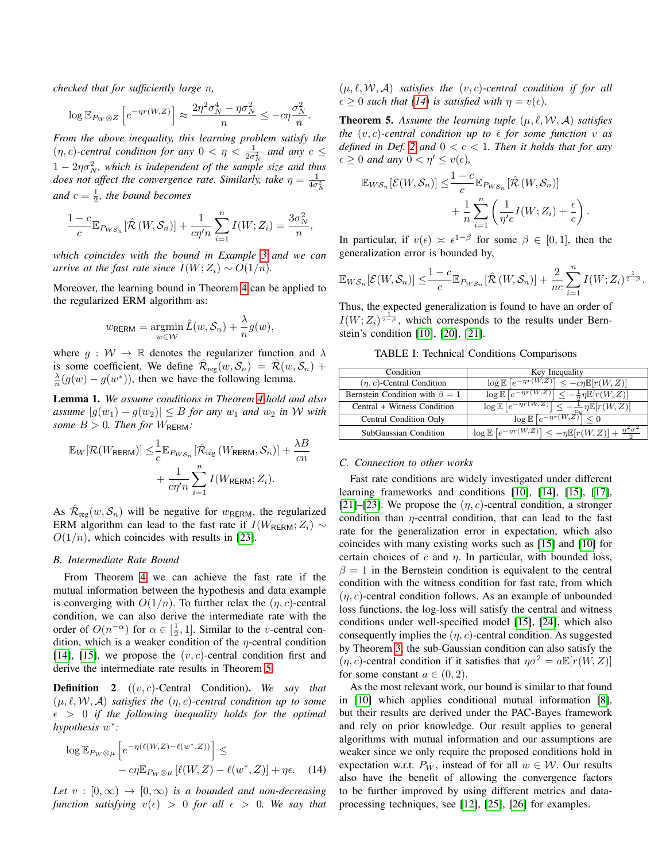*checked that for sufficiently large* n*,*

$$
\log \mathbb{E}_{P_W \otimes Z} \left[ e^{-\eta r(W,Z)} \right] \approx \frac{2\eta^2 \sigma_N^4 - \eta \sigma_N^2}{n} \le -c\eta \frac{\sigma_N^2}{n}.
$$

*From the above inequality, this learning problem satisfy the*  $(\eta, c)$ -central condition for any  $0 < \eta < \frac{1}{2\sigma_N^2}$  and any  $c \leq$  $1 - 2\eta \sigma_N^2$ , which is independent of the sample size and thus *does not affect the convergence rate. Similarly, take*  $\eta = \frac{1}{4\sigma_N^2}$ and  $c = \frac{1}{2}$ , the bound becomes

$$
\frac{1-c}{c} \mathbb{E}_{P_{WS_n}}[\hat{\mathcal{R}}(W, \mathcal{S}_n)] + \frac{1}{c\eta'n} \sum_{i=1}^n I(W; Z_i) = \frac{3\sigma_N^2}{n},
$$

*which coincides with the bound in Example [3](#page-2-4) and we can arrive at the fast rate since*  $I(W; Z_i) \sim O(1/n)$ *.* 

Moreover, the learning bound in Theorem [4](#page-3-2) can be applied to the regularized ERM algorithm as:

$$
w_{\text{RERM}} = \operatorname*{argmin}_{w \in \mathcal{W}} \hat{L}(w, \mathcal{S}_n) + \frac{\lambda}{n} g(w),
$$

where  $g : \mathcal{W} \to \mathbb{R}$  denotes the regularizer function and  $\lambda$ is some coefficient. We define  $\mathcal{\hat{R}}_{reg}(w, \mathcal{S}_n) = \mathcal{\hat{R}}(w, \mathcal{S}_n) +$  $\frac{\lambda}{n}(g(w) - g(w^*))$ , then we have the following lemma.

<span id="page-4-5"></span>Lemma 1. *We assume conditions in Theorem [4](#page-3-2) hold and also assume*  $|g(w_1) - g(w_2)|$  ≤ *B for any*  $w_1$  *and*  $w_2$  *in W with some*  $B > 0$ *. Then for*  $W_{\text{RERM}}$ *:* 

$$
\mathbb{E}_{W}[\mathcal{R}(W_{\text{RERM}})] \leq \frac{1}{c} \mathbb{E}_{P_{WS_n}}[\hat{\mathcal{R}}_{\text{reg}}(W_{\text{RERM}}, \mathcal{S}_n)] + \frac{\lambda B}{cn} + \frac{1}{c\eta'n} \sum_{i=1}^n I(W_{\text{RERM}}; Z_i).
$$

As  $\hat{\mathcal{R}}_{reg}(w, \mathcal{S}_n)$  will be negative for  $w_{RERM}$ , the regularized ERM algorithm can lead to the fast rate if  $I(W_{\text{RERM}};Z_i) \sim$  $O(1/n)$ , which coincides with results in [\[23\]](#page-5-20).

#### *B. Intermediate Rate Bound*

From Theorem [4](#page-3-2) we can achieve the fast rate if the mutual information between the hypothesis and data example is converging with  $O(1/n)$ . To further relax the  $(\eta, c)$ -central condition, we can also derive the intermediate rate with the order of  $O(n^{-\alpha})$  for  $\alpha \in [\frac{1}{2}, 1]$ . Similar to the *v*-central condition, which is a weaker condition of the  $\eta$ -central condition [\[14\]](#page-5-12), [\[15\]](#page-5-13), we propose the  $(v, c)$ -central condition first and derive the intermediate rate results in Theorem [5.](#page-4-2)

<span id="page-4-4"></span>Definition 2 ((v, c)-Central Condition). *We say that*  $(\mu, \ell, \mathcal{W}, \mathcal{A})$  *satisfies the*  $(\eta, c)$ -central condition up to some  $\epsilon > 0$  if the following inequality holds for the optimal *hypothesis* w ∗ *:*

$$
\log \mathbb{E}_{P_W \otimes \mu} \left[ e^{-\eta(\ell(W,Z) - \ell(w^*,Z))} \right] \le -c\eta \mathbb{E}_{P_W \otimes \mu} \left[ \ell(W,Z) - \ell(w^*,Z) \right] + \eta \epsilon. \tag{14}
$$

*Let*  $v : [0, \infty) \rightarrow [0, \infty)$  *is a bounded and non-decreasing function satisfying*  $v(\epsilon) > 0$  *for all*  $\epsilon > 0$ *. We say that* 

 $(\mu, \ell, \mathcal{W}, \mathcal{A})$  *satisfies the*  $(v, c)$ -central condition if for all  $\epsilon \geq 0$  *such that [\(14\)](#page-4-3) is satisfied with*  $\eta = v(\epsilon)$ *.* 

<span id="page-4-2"></span>**Theorem 5.** Assume the learning tuple  $(\mu, \ell, \mathcal{W}, \mathcal{A})$  satisfies *the*  $(v, c)$ -central condition up to  $\epsilon$  for some function v as *defined in Def.* [2](#page-4-4) *and*  $0 < c < 1$ *. Then it holds that for any*  $\epsilon \geq 0$  *and any*  $0 < \eta' \leq v(\epsilon)$ ,

$$
\mathbb{E}_{WS_n}[\mathcal{E}(W,\mathcal{S}_n)] \leq \frac{1-c}{c} \mathbb{E}_{P_{WS_n}}[\hat{\mathcal{R}}(W,\mathcal{S}_n)] + \frac{1}{n} \sum_{i=1}^n \left( \frac{1}{\eta' c} I(W;Z_i) + \frac{\epsilon}{c} \right).
$$

In particular, if  $v(\epsilon) \approx \epsilon^{1-\beta}$  for some  $\beta \in [0,1]$ , then the generalization error is bounded by,

$$
\mathbb{E}_{WS_n}[\mathcal{E}(W,\mathcal{S}_n)] \leq \frac{1-c}{c} \mathbb{E}_{P_{WS_n}}[\hat{\mathcal{R}}(W,\mathcal{S}_n)] + \frac{2}{nc} \sum_{i=1}^n I(W;Z_i)^{\frac{1}{2-\beta}}.
$$

Thus, the expected generalization is found to have an order of  $I(W; Z_i)$ <sup>1</sup>/<sub>2−</sub>β, which corresponds to the results under Bernstein's condition [\[10\]](#page-5-9), [\[20\]](#page-5-21), [\[21\]](#page-5-18).

TABLE I: Technical Conditions Comparisons

<span id="page-4-0"></span>

| Condition                            | Key Inequality                                                                          |
|--------------------------------------|-----------------------------------------------------------------------------------------|
| $(\eta, c)$ -Central Condition       | $\leq -c\eta \mathbb{E}[r(W,Z)]$<br>$\log \mathbb{E}  e^{-\eta r(W,Z)} $                |
| Bernstein Condition with $\beta = 1$ | $\log \mathbb{E}\left[e^{-\eta r(W,Z)}\right]$<br>$-\frac{1}{2}\eta \mathbb{E}[r(W,Z)]$ |
| Central + Witness Condition          | $\log \mathbb{E}\left[e^{-\eta r(W,Z)}\right]$<br>$\eta \mathbb{E}[r(W,Z)]$             |
| <b>Central Condition Only</b>        | $\log \mathbb{E}$ $ e^{-\eta r(W,Z)}$                                                   |
| SubGaussian Condition                | $\log \mathbb{E}\left[e^{-\eta r(W,Z)}\right]$<br>$\leq -\eta \mathbb{E}[r(W,Z)] +$     |

#### <span id="page-4-1"></span>*C. Connection to other works*

Fast rate conditions are widely investigated under different learning frameworks and conditions [\[10\]](#page-5-9), [\[14\]](#page-5-12), [\[15\]](#page-5-13), [\[17\]](#page-5-16), [\[21\]](#page-5-18)–[\[23\]](#page-5-20). We propose the  $(\eta, c)$ -central condition, a stronger condition than  $\eta$ -central condition, that can lead to the fast rate for the generalization error in expectation, which also coincides with many existing works such as [\[15\]](#page-5-13) and [\[10\]](#page-5-9) for certain choices of c and  $\eta$ . In particular, with bounded loss,  $\beta = 1$  in the Bernstein condition is equivalent to the central condition with the witness condition for fast rate, from which  $(\eta, c)$ -central condition follows. As an example of unbounded loss functions, the log-loss will satisfy the central and witness conditions under well-specified model [\[15\]](#page-5-13), [\[24\]](#page-5-22), which also consequently implies the  $(\eta, c)$ -central condition. As suggested by Theorem [3,](#page-2-3) the sub-Gaussian condition can also satisfy the  $(\eta, c)$ -central condition if it satisfies that  $\eta \sigma^2 = a \mathbb{E}[r(W, Z)]$ for some constant  $a \in (0, 2)$ .

<span id="page-4-3"></span>As the most relevant work, our bound is similar to that found in [\[10\]](#page-5-9) which applies conditional mutual information [\[8\]](#page-5-7), but their results are derived under the PAC-Bayes framework and rely on prior knowledge. Our result applies to general algorithms with mutual information and our assumptions are weaker since we only require the proposed conditions hold in expectation w.r.t.  $P_W$ , instead of for all  $w \in W$ . Our results also have the benefit of allowing the convergence factors to be further improved by using different metrics and dataprocessing techniques, see [\[12\]](#page-5-14), [\[25\]](#page-5-23), [\[26\]](#page-5-24) for examples.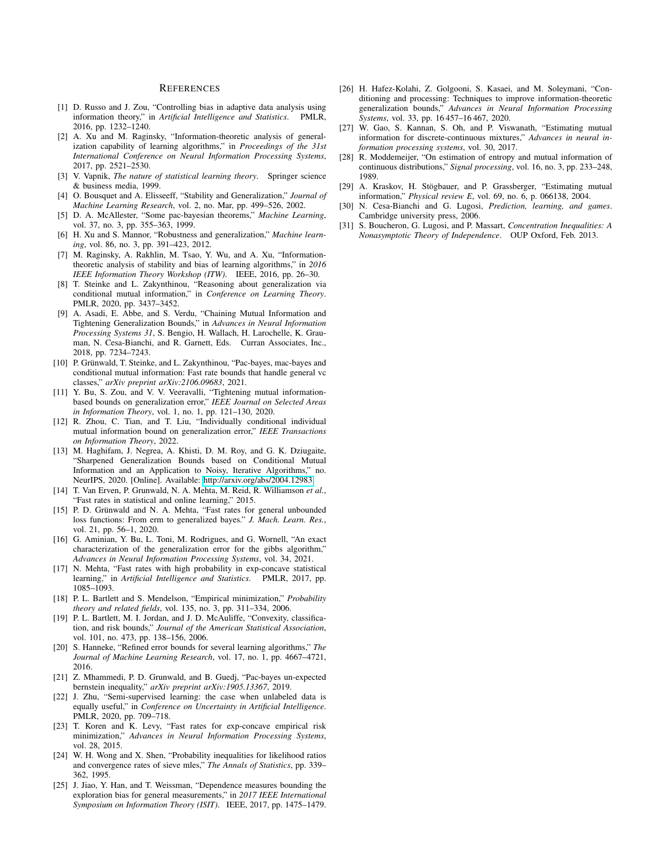#### **REFERENCES**

- <span id="page-5-0"></span>[1] D. Russo and J. Zou, "Controlling bias in adaptive data analysis using information theory," in *Artificial Intelligence and Statistics*. PMLR, 2016, pp. 1232–1240.
- <span id="page-5-1"></span>[2] A. Xu and M. Raginsky, "Information-theoretic analysis of generalization capability of learning algorithms," in *Proceedings of the 31st International Conference on Neural Information Processing Systems*, 2017, pp. 2521–2530.
- <span id="page-5-2"></span>[3] V. Vapnik, *The nature of statistical learning theory*. Springer science & business media, 1999.
- <span id="page-5-3"></span>[4] O. Bousquet and A. Elisseeff, "Stability and Generalization," *Journal of Machine Learning Research*, vol. 2, no. Mar, pp. 499–526, 2002.
- <span id="page-5-4"></span>[5] D. A. McAllester, "Some pac-bayesian theorems," *Machine Learning*, vol. 37, no. 3, pp. 355–363, 1999.
- <span id="page-5-5"></span>[6] H. Xu and S. Mannor, "Robustness and generalization," *Machine learning*, vol. 86, no. 3, pp. 391–423, 2012.
- <span id="page-5-6"></span>[7] M. Raginsky, A. Rakhlin, M. Tsao, Y. Wu, and A. Xu, "Informationtheoretic analysis of stability and bias of learning algorithms," in *2016 IEEE Information Theory Workshop (ITW)*. IEEE, 2016, pp. 26–30.
- <span id="page-5-7"></span>[8] T. Steinke and L. Zakynthinou, "Reasoning about generalization via conditional mutual information," in *Conference on Learning Theory*. PMLR, 2020, pp. 3437–3452.
- <span id="page-5-8"></span>[9] A. Asadi, E. Abbe, and S. Verdu, "Chaining Mutual Information and Tightening Generalization Bounds," in *Advances in Neural Information Processing Systems 31*, S. Bengio, H. Wallach, H. Larochelle, K. Grauman, N. Cesa-Bianchi, and R. Garnett, Eds. Curran Associates, Inc., 2018, pp. 7234–7243.
- <span id="page-5-9"></span>[10] P. Grünwald, T. Steinke, and L. Zakynthinou, "Pac-bayes, mac-bayes and conditional mutual information: Fast rate bounds that handle general vc classes," *arXiv preprint arXiv:2106.09683*, 2021.
- <span id="page-5-10"></span>[11] Y. Bu, S. Zou, and V. V. Veeravalli, "Tightening mutual informationbased bounds on generalization error," *IEEE Journal on Selected Areas in Information Theory*, vol. 1, no. 1, pp. 121–130, 2020.
- <span id="page-5-14"></span>[12] R. Zhou, C. Tian, and T. Liu, "Individually conditional individual mutual information bound on generalization error," *IEEE Transactions on Information Theory*, 2022.
- <span id="page-5-11"></span>[13] M. Haghifam, J. Negrea, A. Khisti, D. M. Roy, and G. K. Dziugaite, "Sharpened Generalization Bounds based on Conditional Mutual Information and an Application to Noisy, Iterative Algorithms," no. NeurIPS, 2020. [Online]. Available:<http://arxiv.org/abs/2004.12983>
- <span id="page-5-12"></span>[14] T. Van Erven, P. Grunwald, N. A. Mehta, M. Reid, R. Williamson *et al.*, "Fast rates in statistical and online learning," 2015.
- <span id="page-5-13"></span>[15] P. D. Grünwald and N. A. Mehta, "Fast rates for general unbounded loss functions: From erm to generalized bayes." *J. Mach. Learn. Res.*, vol. 21, pp. 56–1, 2020.
- <span id="page-5-15"></span>[16] G. Aminian, Y. Bu, L. Toni, M. Rodrigues, and G. Wornell, "An exact characterization of the generalization error for the gibbs algorithm," *Advances in Neural Information Processing Systems*, vol. 34, 2021.
- <span id="page-5-16"></span>[17] N. Mehta, "Fast rates with high probability in exp-concave statistical learning," in *Artificial Intelligence and Statistics*. PMLR, 2017, pp. 1085–1093.
- <span id="page-5-17"></span>[18] P. L. Bartlett and S. Mendelson, "Empirical minimization," *Probability theory and related fields*, vol. 135, no. 3, pp. 311–334, 2006.
- [19] P. L. Bartlett, M. I. Jordan, and J. D. McAuliffe, "Convexity, classification, and risk bounds," *Journal of the American Statistical Association*, vol. 101, no. 473, pp. 138–156, 2006.
- <span id="page-5-21"></span>[20] S. Hanneke, "Refined error bounds for several learning algorithms," *The Journal of Machine Learning Research*, vol. 17, no. 1, pp. 4667–4721, 2016.
- <span id="page-5-18"></span>[21] Z. Mhammedi, P. D. Grunwald, and B. Guedj, "Pac-bayes un-expected bernstein inequality," *arXiv preprint arXiv:1905.13367*, 2019.
- <span id="page-5-19"></span>[22] J. Zhu, "Semi-supervised learning: the case when unlabeled data is equally useful," in *Conference on Uncertainty in Artificial Intelligence*. PMLR, 2020, pp. 709–718.
- <span id="page-5-20"></span>[23] T. Koren and K. Levy, "Fast rates for exp-concave empirical risk minimization," *Advances in Neural Information Processing Systems*, vol. 28, 2015.
- <span id="page-5-22"></span>[24] W. H. Wong and X. Shen, "Probability inequalities for likelihood ratios and convergence rates of sieve mles," *The Annals of Statistics*, pp. 339– 362, 1995.
- <span id="page-5-23"></span>[25] J. Jiao, Y. Han, and T. Weissman, "Dependence measures bounding the exploration bias for general measurements," in *2017 IEEE International Symposium on Information Theory (ISIT)*. IEEE, 2017, pp. 1475–1479.
- <span id="page-5-24"></span>[26] H. Hafez-Kolahi, Z. Golgooni, S. Kasaei, and M. Soleymani, "Conditioning and processing: Techniques to improve information-theoretic generalization bounds," *Advances in Neural Information Processing Systems*, vol. 33, pp. 16 457–16 467, 2020.
- <span id="page-5-25"></span>[27] W. Gao, S. Kannan, S. Oh, and P. Viswanath, "Estimating mutual information for discrete-continuous mixtures," *Advances in neural information processing systems*, vol. 30, 2017.
- <span id="page-5-26"></span>[28] R. Moddemeijer, "On estimation of entropy and mutual information of continuous distributions," *Signal processing*, vol. 16, no. 3, pp. 233–248, 1989.
- <span id="page-5-27"></span>[29] A. Kraskov, H. Stögbauer, and P. Grassberger, "Estimating mutual information," *Physical review E*, vol. 69, no. 6, p. 066138, 2004.
- <span id="page-5-28"></span>[30] N. Cesa-Bianchi and G. Lugosi, *Prediction, learning, and games*. Cambridge university press, 2006.
- <span id="page-5-29"></span>[31] S. Boucheron, G. Lugosi, and P. Massart, *Concentration Inequalities: A Nonasymptotic Theory of Independence*. OUP Oxford, Feb. 2013.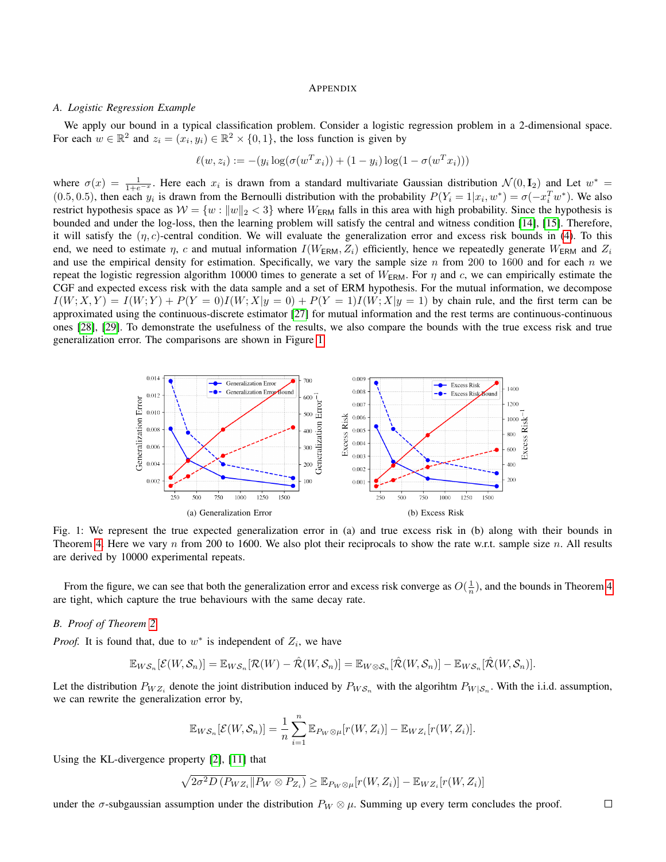#### **APPENDIX**

#### <span id="page-6-0"></span>*A. Logistic Regression Example*

We apply our bound in a typical classification problem. Consider a logistic regression problem in a 2-dimensional space. For each  $w \in \mathbb{R}^2$  and  $z_i = (x_i, y_i) \in \mathbb{R}^2 \times \{0, 1\}$ , the loss function is given by

$$
\ell(w, z_i) := -(y_i \log(\sigma(w^T x_i)) + (1 - y_i) \log(1 - \sigma(w^T x_i)))
$$

where  $\sigma(x) = \frac{1}{1+e^{-x}}$ . Here each  $x_i$  is drawn from a standard multivariate Gaussian distribution  $\mathcal{N}(0, \mathbf{I}_2)$  and Let  $w^* =$ (0.5, 0.5), then each  $y_i$  is drawn from the Bernoulli distribution with the probability  $P(Y_i = 1 | x_i, w^*) = \sigma(-x_i^T w^*)$ . We also restrict hypothesis space as  $W = \{w : ||w||_2 < 3\}$  where  $W_{\text{ERM}}$  falls in this area with high probability. Since the hypothesis is bounded and under the log-loss, then the learning problem will satisfy the central and witness condition [\[14\]](#page-5-12), [\[15\]](#page-5-13). Therefore, it will satisfy the  $(\eta, c)$ -central condition. We will evaluate the generalization error and excess risk bounds in [\(4\)](#page-3-2). To this end, we need to estimate  $\eta$ , c and mutual information  $I(W_{\text{ERM}}, Z_i)$  efficiently, hence we repeatedly generate  $W_{\text{ERM}}$  and  $Z_i$ and use the empirical density for estimation. Specifically, we vary the sample size n from 200 to 1600 and for each n we repeat the logistic regression algorithm 10000 times to generate a set of  $W_{\text{ERM}}$ . For  $\eta$  and c, we can empirically estimate the CGF and expected excess risk with the data sample and a set of ERM hypothesis. For the mutual information, we decompose  $I(W; X, Y) = I(W; Y) + P(Y = 0)I(W; X|y = 0) + P(Y = 1)I(W; X|y = 1)$  by chain rule, and the first term can be approximated using the continuous-discrete estimator [\[27\]](#page-5-25) for mutual information and the rest terms are continuous-continuous ones [\[28\]](#page-5-26), [\[29\]](#page-5-27). To demonstrate the usefulness of the results, we also compare the bounds with the true excess risk and true generalization error. The comparisons are shown in Figure [1.](#page-6-1)

<span id="page-6-1"></span>

Fig. 1: We represent the true expected generalization error in (a) and true excess risk in (b) along with their bounds in Theorem [4.](#page-3-2) Here we vary  $n$  from 200 to 1600. We also plot their reciprocals to show the rate w.r.t. sample size  $n$ . All results are derived by 10000 experimental repeats.

From the figure, we can see that both the generalization error and excess risk converge as  $O(\frac{1}{n})$ , and the bounds in Theorem [4](#page-3-2) are tight, which capture the true behaviours with the same decay rate.

## *B. Proof of Theorem [2](#page-2-0)*

*Proof.* It is found that, due to  $w^*$  is independent of  $Z_i$ , we have

$$
\mathbb{E}_{WS_n}[\mathcal{E}(W,\mathcal{S}_n)] = \mathbb{E}_{WS_n}[\mathcal{R}(W) - \hat{\mathcal{R}}(W,\mathcal{S}_n)] = \mathbb{E}_{W \otimes \mathcal{S}_n}[\hat{\mathcal{R}}(W,\mathcal{S}_n)] - \mathbb{E}_{WS_n}[\hat{\mathcal{R}}(W,\mathcal{S}_n)].
$$

Let the distribution  $P_{WZ_i}$  denote the joint distribution induced by  $P_{WS_n}$  with the algorihtm  $P_{W|S_n}$ . With the i.i.d. assumption, we can rewrite the generalization error by,

$$
\mathbb{E}_{WS_n}[\mathcal{E}(W,\mathcal{S}_n)] = \frac{1}{n} \sum_{i=1}^n \mathbb{E}_{P_W \otimes \mu}[r(W,Z_i)] - \mathbb{E}_{WZ_i}[r(W,Z_i)].
$$

Using the KL-divergence property [\[2\]](#page-5-1), [\[11\]](#page-5-10) that

$$
\sqrt{2\sigma^2 D\left(P_{WZ_i} \| P_W \otimes P_{Z_i}\right)} \geq \mathbb{E}_{P_W \otimes \mu}[r(W, Z_i)] - \mathbb{E}_{WZ_i}[r(W, Z_i)]
$$

under the  $\sigma$ -subgaussian assumption under the distribution  $P_W \otimes \mu$ . Summing up every term concludes the proof.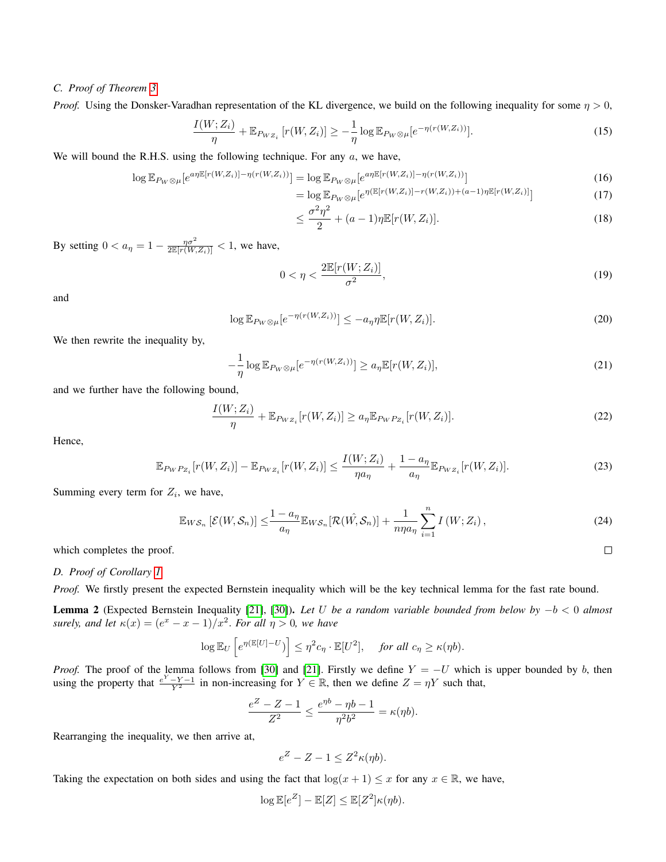## *C. Proof of Theorem [3](#page-2-3)*

*Proof.* Using the Donsker-Varadhan representation of the KL divergence, we build on the following inequality for some  $\eta > 0$ ,

$$
\frac{I(W; Z_i)}{\eta} + \mathbb{E}_{P_{WZ_i}} \left[ r(W, Z_i) \right] \ge -\frac{1}{\eta} \log \mathbb{E}_{P_W \otimes \mu} \left[ e^{-\eta (r(W, Z_i))} \right]. \tag{15}
$$

We will bound the R.H.S. using the following technique. For any  $a$ , we have,

$$
\log \mathbb{E}_{P_W \otimes \mu} \left[ e^{a \eta \mathbb{E} \left[ r(W, Z_i) \right] - \eta \left( r(W, Z_i) \right)} \right] = \log \mathbb{E}_{P_W \otimes \mu} \left[ e^{a \eta \mathbb{E} \left[ r(W, Z_i) \right] - \eta \left( r(W, Z_i) \right)} \right] \tag{16}
$$

$$
= \log \mathbb{E}_{P_W \otimes \mu} \left[ e^{\eta (\mathbb{E}[r(W, Z_i)] - r(W, Z_i)) + (a-1)\eta \mathbb{E}[r(W, Z_i)]} \right]
$$
\n(17)

$$
\leq \frac{\sigma^2 \eta^2}{2} + (a-1)\eta \mathbb{E}[r(W, Z_i)].\tag{18}
$$

By setting  $0 < a_{\eta} = 1 - \frac{\eta \sigma^2}{2 \mathbb{E} [r(W, Z_i)]} < 1$ , we have,

$$
0 < \eta < \frac{2\mathbb{E}[r(W;Z_i)]}{\sigma^2},\tag{19}
$$

 $\Box$ 

and

$$
\log \mathbb{E}_{P_W \otimes \mu}[e^{-\eta(r(W, Z_i))}] \le -a_{\eta} \eta \mathbb{E}[r(W, Z_i)]. \tag{20}
$$

We then rewrite the inequality by,

$$
-\frac{1}{\eta}\log \mathbb{E}_{P_W\otimes\mu}[e^{-\eta(r(W,Z_i))}] \ge a_\eta \mathbb{E}[r(W,Z_i)],\tag{21}
$$

and we further have the following bound,

$$
\frac{I(W; Z_i)}{\eta} + \mathbb{E}_{P_{WZ_i}}[r(W, Z_i)] \ge a_{\eta} \mathbb{E}_{P_W P_{Z_i}}[r(W, Z_i)].
$$
\n(22)

Hence,

$$
\mathbb{E}_{PWP_{Z_i}}[r(W, Z_i)] - \mathbb{E}_{PWE_i}[r(W, Z_i)] \le \frac{I(W; Z_i)}{\eta a_\eta} + \frac{1 - a_\eta}{a_\eta} \mathbb{E}_{PWE_i}[r(W, Z_i)].
$$
\n(23)

Summing every term for  $Z_i$ , we have,

$$
\mathbb{E}_{WS_n}\left[\mathcal{E}(W,\mathcal{S}_n)\right] \le \frac{1-a_\eta}{a_\eta} \mathbb{E}_{WS_n}[\mathcal{R}(W,\mathcal{S}_n)] + \frac{1}{n\eta a_\eta} \sum_{i=1}^n I\left(W;Z_i\right),\tag{24}
$$

which completes the proof.

## *D. Proof of Corollary [1](#page-3-3)*

*Proof.* We firstly present the expected Bernstein inequality which will be the key technical lemma for the fast rate bound.

<span id="page-7-0"></span>Lemma 2 (Expected Bernstein Inequality [\[21\]](#page-5-18), [\[30\]](#page-5-28)). *Let* U *be a random variable bounded from below by* −b < 0 *almost surely, and let*  $\kappa(x) = (e^x - x - 1)/x^2$ . *For all*  $\eta > 0$ *, we have* 

$$
\log \mathbb{E}_U\left[e^{\eta(\mathbb{E}[U]-U})\right] \leq \eta^2 c_\eta \cdot \mathbb{E}[U^2], \quad \text{for all } c_\eta \geq \kappa(\eta b).
$$

*Proof.* The proof of the lemma follows from [\[30\]](#page-5-28) and [\[21\]](#page-5-18). Firstly we define  $Y = -U$  which is upper bounded by b, then using the property that  $\frac{e^Y - Y - 1}{Y^2}$  in non-increasing for  $Y \in \mathbb{R}$ , then we define  $Z = \eta Y$  such that,

$$
\frac{e^Z - Z - 1}{Z^2} \le \frac{e^{\eta b} - \eta b - 1}{\eta^2 b^2} = \kappa(\eta b).
$$

Rearranging the inequality, we then arrive at,

$$
e^Z - Z - 1 \le Z^2 \kappa(\eta b).
$$

Taking the expectation on both sides and using the fact that  $\log(x + 1) \leq x$  for any  $x \in \mathbb{R}$ , we have,

$$
\log \mathbb{E}[e^Z] - \mathbb{E}[Z] \le \mathbb{E}[Z^2] \kappa(\eta b).
$$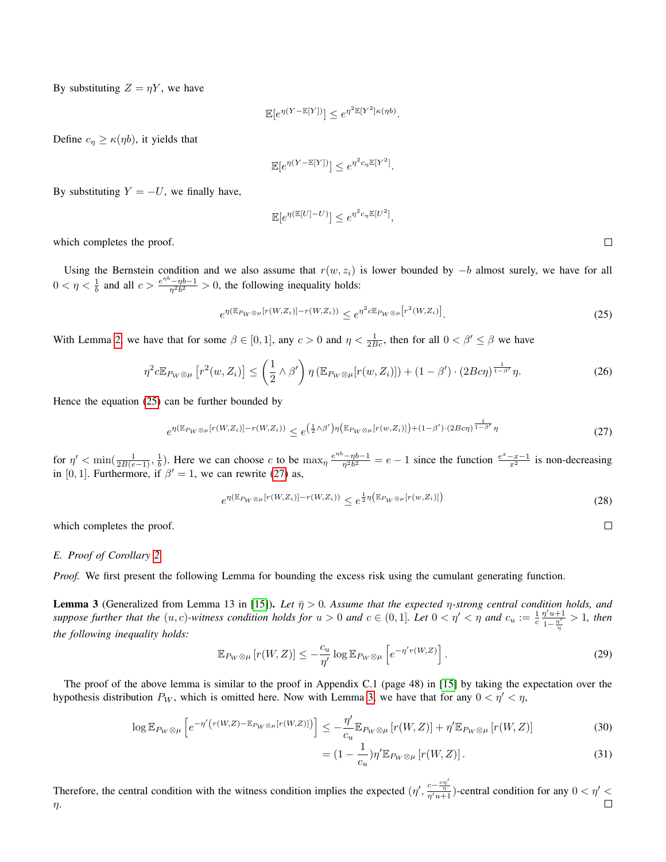By substituting  $Z = \eta Y$ , we have

$$
\mathbb{E}[e^{\eta(Y-\mathbb{E}[Y])}] \le e^{\eta^2 \mathbb{E}[Y^2]\kappa(\eta b)}.
$$

Define  $c_{\eta} \geq \kappa(\eta b)$ , it yields that

$$
\mathbb{E}[e^{\eta(Y-\mathbb{E}[Y])}] \le e^{\eta^2 c_{\eta} \mathbb{E}[Y^2]}.
$$

By substituting  $Y = -U$ , we finally have,

$$
\mathbb{E}[e^{\eta(\mathbb{E}[U]-U)}] \le e^{\eta^2 c_{\eta} \mathbb{E}[U^2]},
$$

<span id="page-8-0"></span> $\Box$ 

<span id="page-8-1"></span> $\Box$ 

which completes the proof.

Using the Bernstein condition and we also assume that  $r(w, z_i)$  is lower bounded by  $-b$  almost surely, we have for all  $0 < \eta < \frac{1}{b}$  and all  $c > \frac{e^{\eta b} - \eta b - 1}{\eta^2 b^2} > 0$ , the following inequality holds:

$$
e^{\eta \left(\mathbb{E}_{P_W \otimes \mu}[r(W,Z_i)] - r(W,Z_i)\right)} \le e^{\eta^2 c \mathbb{E}_{P_W \otimes \mu}[r^2(W,Z_i)]}.
$$
\n
$$
(25)
$$

With Lemma [2,](#page-7-0) we have that for some  $\beta \in [0,1]$ , any  $c > 0$  and  $\eta < \frac{1}{2Bc}$ , then for all  $0 < \beta' \le \beta$  we have

$$
\eta^2 c \mathbb{E}_{P_W \otimes \mu} \left[ r^2(w, Z_i) \right] \le \left( \frac{1}{2} \wedge \beta' \right) \eta \left( \mathbb{E}_{P_W \otimes \mu} [r(w, Z_i)] \right) + (1 - \beta') \cdot (2Bc\eta)^{\frac{1}{1 - \beta'}} \eta. \tag{26}
$$

Hence the equation [\(25\)](#page-8-0) can be further bounded by

$$
e^{\eta(\mathbb{E}_{P_W\otimes\mu}[r(W,Z_i)]-r(W,Z_i))} \leq e^{\left(\frac{1}{2}\wedge\beta'\right)\eta\left(\mathbb{E}_{P_W\otimes\mu}[r(w,Z_i)]\right) + (1-\beta')\cdot(2Bc\eta)^{\frac{1}{1-\beta'}}\eta}
$$
\n
$$
(27)
$$

for  $\eta' < \min(\frac{1}{2B(e-1)}, \frac{1}{b})$ . Here we can choose c to be  $\max_{\eta} \frac{e^{\eta b} - \eta b - 1}{\eta^2 b^2} = e - 1$  since the function  $\frac{e^x - x - 1}{x^2}$  is non-decreasing in [0, 1]. Furthermore, if  $\beta' = 1$ , we can rewrite [\(27\)](#page-8-1) as,

$$
e^{\eta(\mathbb{E}_{P_W \otimes \mu}[r(W,Z_i)] - r(W,Z_i))} \leq e^{\frac{1}{2}\eta(\mathbb{E}_{P_W \otimes \mu}[r(w,Z_i)])} \tag{28}
$$

which completes the proof.

## *E. Proof of Corollary [2](#page-3-4)*

*Proof.* We first present the following Lemma for bounding the excess risk using the cumulant generating function.

<span id="page-8-2"></span>Lemma 3 (Generalized from Lemma 13 in [\[15\]](#page-5-13)). *Let*  $\bar{\eta} > 0$ . Assume that the expected  $\eta$ -strong central condition holds, and *suppose further that the*  $(u, c)$ -witness condition holds for  $u > 0$  and  $c \in (0, 1]$ . Let  $0 < \eta' < \eta$  and  $c_u := \frac{1}{c} \frac{\eta' u + 1}{1 - \frac{\eta'}{c}}$  $\frac{\eta \cdot u+1}{1-\frac{\eta'}{\eta}} > 1$ , then *the following inequality holds:*

$$
\mathbb{E}_{P_W \otimes \mu} \left[ r(W, Z) \right] \le -\frac{c_u}{\eta'} \log \mathbb{E}_{P_W \otimes \mu} \left[ e^{-\eta' r(W, Z)} \right]. \tag{29}
$$

The proof of the above lemma is similar to the proof in Appendix C.1 (page 48) in [\[15\]](#page-5-13) by taking the expectation over the hypothesis distribution  $P_W$ , which is omitted here. Now with Lemma [3,](#page-8-2) we have that for any  $0 < \eta' < \eta$ ,

$$
\log \mathbb{E}_{P_W \otimes \mu} \left[ e^{-\eta' \left( r(W,Z) - \mathbb{E}_{P_W \otimes \mu} [r(W,Z)] \right)} \right] \leq -\frac{\eta'}{c_u} \mathbb{E}_{P_W \otimes \mu} \left[ r(W,Z) \right] + \eta' \mathbb{E}_{P_W \otimes \mu} \left[ r(W,Z) \right] \tag{30}
$$

$$
= (1 - \frac{1}{c_u}) \eta' \mathbb{E}_{P_W \otimes \mu} \left[ r(W, Z) \right]. \tag{31}
$$

Therefore, the central condition with the witness condition implies the expected  $(\eta', \frac{c-\frac{cn'}{\eta}}{r/u+1})$ -central condition for any  $0 < \eta' <$ η.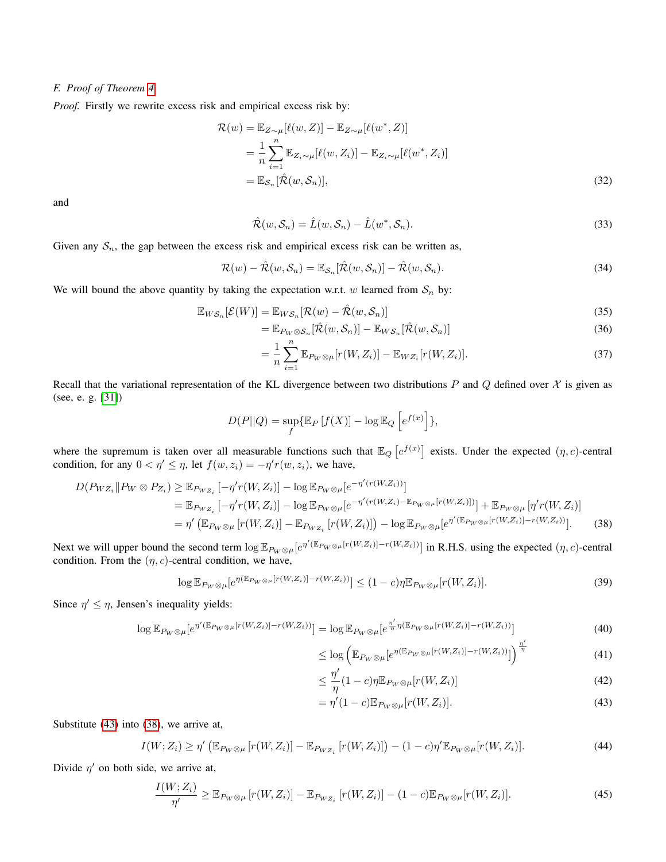## *F. Proof of Theorem [4](#page-3-2)*

*Proof.* Firstly we rewrite excess risk and empirical excess risk by:

$$
\mathcal{R}(w) = \mathbb{E}_{Z \sim \mu}[\ell(w, Z)] - \mathbb{E}_{Z \sim \mu}[\ell(w^*, Z)]
$$
  
\n
$$
= \frac{1}{n} \sum_{i=1}^n \mathbb{E}_{Z_i \sim \mu}[\ell(w, Z_i)] - \mathbb{E}_{Z_i \sim \mu}[\ell(w^*, Z_i)]
$$
  
\n
$$
= \mathbb{E}_{S_n}[\hat{\mathcal{R}}(w, S_n)], \tag{32}
$$

and

$$
\hat{\mathcal{R}}(w,\mathcal{S}_n) = \hat{L}(w,\mathcal{S}_n) - \hat{L}(w^*,\mathcal{S}_n). \tag{33}
$$

Given any  $S_n$ , the gap between the excess risk and empirical excess risk can be written as,

$$
\mathcal{R}(w) - \hat{\mathcal{R}}(w, \mathcal{S}_n) = \mathbb{E}_{\mathcal{S}_n}[\hat{\mathcal{R}}(w, \mathcal{S}_n)] - \hat{\mathcal{R}}(w, \mathcal{S}_n).
$$
\n(34)

We will bound the above quantity by taking the expectation w.r.t. w learned from  $S_n$  by:

$$
\mathbb{E}_{W\mathcal{S}_n}[\mathcal{E}(W)] = \mathbb{E}_{W\mathcal{S}_n}[\mathcal{R}(w) - \hat{\mathcal{R}}(w, \mathcal{S}_n)]
$$
\n(35)

$$
= \mathbb{E}_{P_W \otimes \mathcal{S}_n} [\hat{\mathcal{R}}(w, \mathcal{S}_n)] - \mathbb{E}_{WS_n} [\hat{\mathcal{R}}(w, \mathcal{S}_n)] \tag{36}
$$

$$
= \frac{1}{n} \sum_{i=1}^{n} \mathbb{E}_{P_W \otimes \mu}[r(W, Z_i)] - \mathbb{E}_{WZ_i}[r(W, Z_i)].
$$
\n(37)

Recall that the variational representation of the KL divergence between two distributions P and Q defined over  $\chi$  is given as (see, e. g. [\[31\]](#page-5-29))

$$
D(P||Q) = \sup_{f} \{ \mathbb{E}_{P} [f(X)] - \log \mathbb{E}_{Q} \left[ e^{f(x)} \right] \},
$$

where the supremum is taken over all measurable functions such that  $\mathbb{E}_Q[e^{f(x)}]$  exists. Under the expected  $(\eta, c)$ -central condition, for any  $0 < \eta' \leq \eta$ , let  $f(w, z_i) = -\eta' r(w, z_i)$ , we have,

$$
D(P_{WZ_i} \| P_W \otimes P_{Z_i}) \geq \mathbb{E}_{P_{WZ_i}} \left[ -\eta' r(W, Z_i) \right] - \log \mathbb{E}_{P_W \otimes \mu} \left[ e^{-\eta' (r(W, Z_i))} \right]
$$
  
\n
$$
= \mathbb{E}_{P_{WZ_i}} \left[ -\eta' r(W, Z_i) \right] - \log \mathbb{E}_{P_W \otimes \mu} \left[ e^{-\eta' (r(W, Z_i) - \mathbb{E}_{P_W \otimes \mu} [r(W, Z_i)])} \right] + \mathbb{E}_{P_W \otimes \mu} \left[ \eta' r(W, Z_i) \right]
$$
  
\n
$$
= \eta' \left( \mathbb{E}_{P_W \otimes \mu} \left[ r(W, Z_i) \right] - \mathbb{E}_{P_{WZ_i}} \left[ r(W, Z_i) \right] \right) - \log \mathbb{E}_{P_W \otimes \mu} \left[ e^{\eta' (\mathbb{E}_{P_W \otimes \mu} [r(W, Z_i)] - r(W, Z_i))} \right].
$$
 (38)

Next we will upper bound the second term  $\log \mathbb{E}_{P_W \otimes \mu}[e^{\eta'(\mathbb{E}_{P_W \otimes \mu}[r(W,Z_i)] - r(W,Z_i))}]$  in R.H.S. using the expected  $(\eta, c)$ -central condition. From the  $(\eta, c)$ -central condition, we have,

$$
\log \mathbb{E}_{P_W \otimes \mu}[e^{\eta(\mathbb{E}_{P_W \otimes \mu}[r(W,Z_i)] - r(W,Z_i))}] \le (1 - c)\eta \mathbb{E}_{P_W \otimes \mu}[r(W,Z_i)].
$$
\n(39)

Since  $\eta' \leq \eta$ , Jensen's inequality yields:

$$
\log \mathbb{E}_{P_W \otimes \mu} \left[ e^{\eta' (\mathbb{E}_{P_W \otimes \mu} [r(W, Z_i)] - r(W, Z_i))} \right] = \log \mathbb{E}_{P_W \otimes \mu} \left[ e^{\frac{\eta'}{\eta} \eta (\mathbb{E}_{P_W \otimes \mu} [r(W, Z_i)] - r(W, Z_i))} \right]
$$
(40)

<span id="page-9-1"></span>
$$
\leq \log \left( \mathbb{E}_{P_W \otimes \mu} \left[ e^{\eta (\mathbb{E}_{P_W \otimes \mu} [r(W, Z_i)] - r(W, Z_i))} \right] \right)^{\frac{\eta'}{\eta}} \tag{41}
$$

$$
\leq \frac{\eta'}{\eta} (1 - c)\eta \mathbb{E}_{P_W \otimes \mu} [r(W, Z_i)] \tag{42}
$$

<span id="page-9-0"></span>
$$
= \eta'(1-c) \mathbb{E}_{P_W \otimes \mu} [r(W, Z_i)]. \tag{43}
$$

Substitute [\(43\)](#page-9-0) into [\(38\)](#page-9-1), we arrive at,

$$
I(W; Z_i) \ge \eta' \left( \mathbb{E}_{P_W \otimes \mu} \left[ r(W, Z_i) \right] - \mathbb{E}_{P_W z_i} \left[ r(W, Z_i) \right] \right) - (1 - c)\eta' \mathbb{E}_{P_W \otimes \mu} \left[ r(W, Z_i) \right]. \tag{44}
$$

Divide  $\eta'$  on both side, we arrive at,

$$
\frac{I(W;Z_i)}{\eta'} \geq \mathbb{E}_{P_W \otimes \mu} \left[ r(W,Z_i) \right] - \mathbb{E}_{P_{WZ_i}} \left[ r(W,Z_i) \right] - (1-c) \mathbb{E}_{P_W \otimes \mu} \left[ r(W,Z_i) \right]. \tag{45}
$$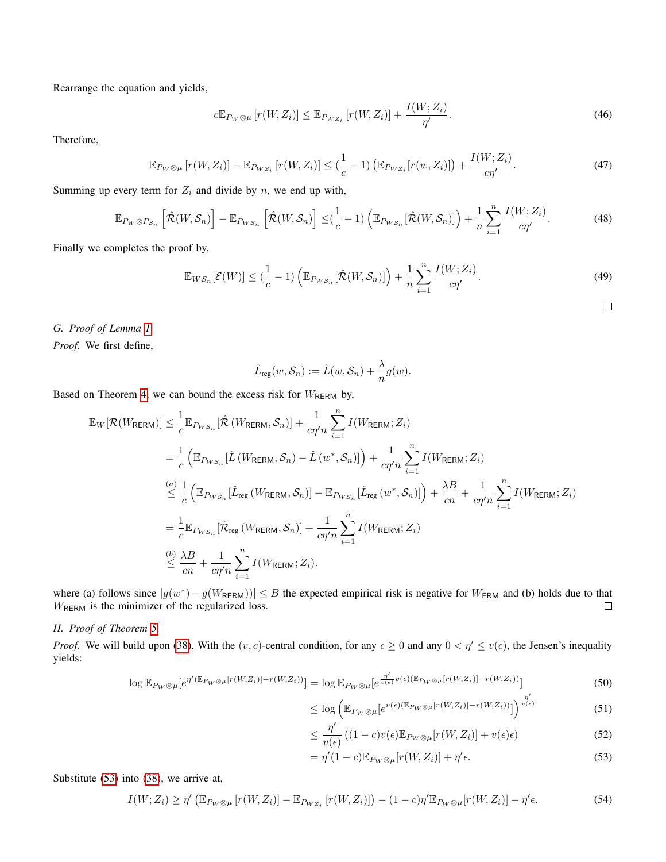Rearrange the equation and yields,

$$
c\mathbb{E}_{P_W\otimes\mu}\left[r(W,Z_i)\right] \leq \mathbb{E}_{P_W_{Z_i}}\left[r(W,Z_i)\right] + \frac{I(W;Z_i)}{\eta'}.
$$
\n(46)

Therefore,

$$
\mathbb{E}_{P_W \otimes \mu} \left[ r(W, Z_i) \right] - \mathbb{E}_{P_W z_i} \left[ r(W, Z_i) \right] \leq \left( \frac{1}{c} - 1 \right) \left( \mathbb{E}_{P_W z_i} \left[ r(w, Z_i) \right] \right) + \frac{I(W; Z_i)}{c \eta'}.
$$
\n(47)

Summing up every term for  $Z_i$  and divide by n, we end up with,

$$
\mathbb{E}_{P_W \otimes P_{\mathcal{S}_n}}\left[\hat{\mathcal{R}}(W,\mathcal{S}_n)\right] - \mathbb{E}_{P_{\mathcal{W}\mathcal{S}_n}}\left[\hat{\mathcal{R}}(W,\mathcal{S}_n)\right] \leq \left(\frac{1}{c} - 1\right) \left(\mathbb{E}_{P_{\mathcal{W}\mathcal{S}_n}}[\hat{\mathcal{R}}(W,\mathcal{S}_n)]\right) + \frac{1}{n} \sum_{i=1}^n \frac{I(W;Z_i)}{c\eta'}.
$$
\n(48)

Finally we completes the proof by,

$$
\mathbb{E}_{WS_n}[\mathcal{E}(W)] \leq (\frac{1}{c} - 1) \left( \mathbb{E}_{P_{WS_n}}[\hat{\mathcal{R}}(W, \mathcal{S}_n)] \right) + \frac{1}{n} \sum_{i=1}^n \frac{I(W; Z_i)}{c\eta'}.
$$
\n(49)

 $\Box$ 

*G. Proof of Lemma [1](#page-4-5)*

*Proof.* We first define,

$$
\hat{L}_{reg}(w, S_n) := \hat{L}(w, S_n) + \frac{\lambda}{n} g(w).
$$

Based on Theorem [4,](#page-3-2) we can bound the excess risk for  $W_{\text{RERM}}$  by,

$$
\mathbb{E}_{W}[\mathcal{R}(W_{\text{RERM}})] \leq \frac{1}{c} \mathbb{E}_{P_{WS_n}}[\hat{\mathcal{R}}(W_{\text{RERM}}, \mathcal{S}_n)] + \frac{1}{c\eta'\bar{n}} \sum_{i=1}^n I(W_{\text{RERM}}; Z_i)
$$
\n
$$
= \frac{1}{c} \left( \mathbb{E}_{P_{WS_n}}[\hat{L}(W_{\text{RERM}}, \mathcal{S}_n) - \hat{L}(w^*, \mathcal{S}_n)] \right) + \frac{1}{c\eta'\bar{n}} \sum_{i=1}^n I(W_{\text{RERM}}; Z_i)
$$
\n
$$
\leq \frac{1}{c} \left( \mathbb{E}_{P_{WS_n}}[\hat{L}_{\text{reg}}(W_{\text{RERM}}, \mathcal{S}_n)] - \mathbb{E}_{P_{WS_n}}[\hat{L}_{\text{reg}}(w^*, \mathcal{S}_n)] \right) + \frac{\lambda B}{c\bar{n}} + \frac{1}{c\eta'\bar{n}} \sum_{i=1}^n I(W_{\text{RERM}}; Z_i)
$$
\n
$$
= \frac{1}{c} \mathbb{E}_{P_{WS_n}}[\hat{\mathcal{R}}_{\text{reg}}(W_{\text{RERM}}, \mathcal{S}_n)] + \frac{1}{c\eta'\bar{n}} \sum_{i=1}^n I(W_{\text{RERM}}; Z_i)
$$
\n
$$
\leq \frac{\lambda B}{c\bar{n}} + \frac{1}{c\eta'\bar{n}} \sum_{i=1}^n I(W_{\text{RERM}}; Z_i).
$$

where (a) follows since  $|g(w^*) - g(W_{\text{RERM}})| \leq B$  the expected empirical risk is negative for  $W_{\text{ERM}}$  and (b) holds due to that WRERM is the minimizer of the regularized loss.  $\Box$ 

# *H. Proof of Theorem [5](#page-4-2)*

*Proof.* We will build upon [\(38\)](#page-9-1). With the  $(v, c)$ -central condition, for any  $\epsilon \ge 0$  and any  $0 < \eta' \le v(\epsilon)$ , the Jensen's inequality yields:

$$
\log \mathbb{E}_{P_W \otimes \mu}[e^{\eta'(\mathbb{E}_{P_W \otimes \mu}[r(W,Z_i)] - r(W,Z_i))}] = \log \mathbb{E}_{P_W \otimes \mu}[e^{\frac{\eta'}{v(\epsilon)}v(\epsilon)(\mathbb{E}_{P_W \otimes \mu}[r(W,Z_i)] - r(W,Z_i))}]
$$
\n<sup>1</sup>\n(50)

$$
\leq \log \left( \mathbb{E}_{P_W \otimes \mu} \left[ e^{v(\epsilon) (\mathbb{E}_{P_W \otimes \mu} [r(W, Z_i)] - r(W, Z_i))} \right] \right)^{\frac{\eta'}{\nu(\epsilon)}} \tag{51}
$$

<span id="page-10-0"></span>
$$
\leq \frac{\eta'}{v(\epsilon)} \left( (1-c)v(\epsilon) \mathbb{E}_{P_W \otimes \mu} [r(W, Z_i)] + v(\epsilon)\epsilon \right) \tag{52}
$$

$$
= \eta'(1-c) \mathbb{E}_{P_W \otimes \mu}[r(W, Z_i)] + \eta' \epsilon. \tag{53}
$$

Substitute [\(53\)](#page-10-0) into [\(38\)](#page-9-1), we arrive at,

$$
I(W; Z_i) \ge \eta' \left( \mathbb{E}_{P_W \otimes \mu} \left[ r(W, Z_i) \right] - \mathbb{E}_{P_W Z_i} \left[ r(W, Z_i) \right] \right) - (1 - c)\eta' \mathbb{E}_{P_W \otimes \mu} \left[ r(W, Z_i) \right] - \eta' \epsilon.
$$
 (54)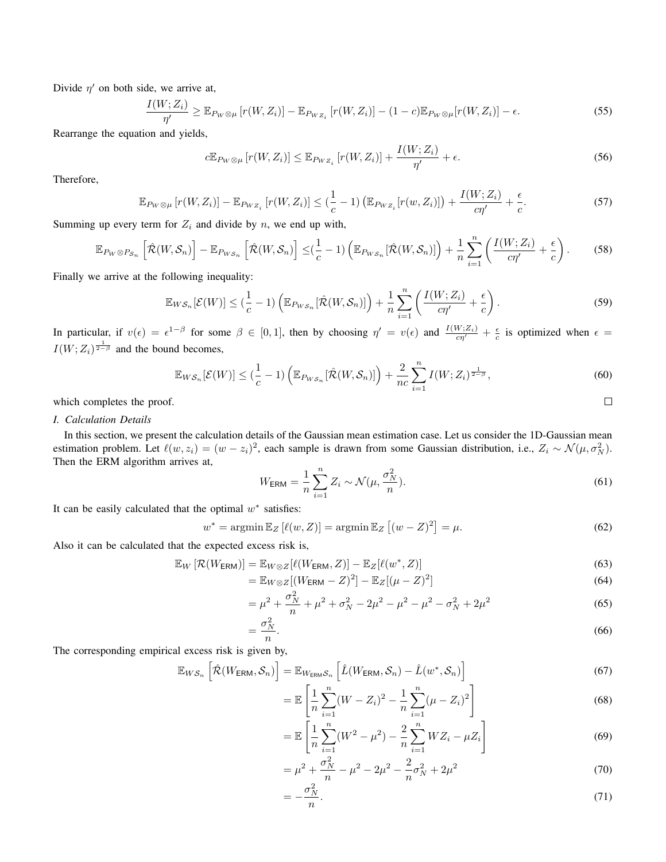Divide  $\eta'$  on both side, we arrive at,

$$
\frac{I(W; Z_i)}{\eta'} \geq \mathbb{E}_{P_W \otimes \mu} \left[ r(W, Z_i) \right] - \mathbb{E}_{P_{WZ_i}} \left[ r(W, Z_i) \right] - (1 - c) \mathbb{E}_{P_W \otimes \mu} \left[ r(W, Z_i) \right] - \epsilon.
$$
\n
$$
(55)
$$

Rearrange the equation and yields,

$$
c\mathbb{E}_{P_W\otimes\mu}\left[r(W,Z_i)\right] \leq \mathbb{E}_{P_{WZ_i}}\left[r(W,Z_i)\right] + \frac{I(W;Z_i)}{\eta'} + \epsilon.
$$
\n(56)

Therefore,

$$
\mathbb{E}_{P_W \otimes \mu} \left[ r(W, Z_i) \right] - \mathbb{E}_{P_{WZ_i}} \left[ r(W, Z_i) \right] \leq \left( \frac{1}{c} - 1 \right) \left( \mathbb{E}_{P_{WZ_i}} \left[ r(w, Z_i) \right] \right) + \frac{I(W; Z_i)}{c \eta'} + \frac{\epsilon}{c}.
$$

Summing up every term for  $Z_i$  and divide by n, we end up with,

$$
\mathbb{E}_{P_W \otimes P_{\mathcal{S}_n}}\left[\hat{\mathcal{R}}(W,\mathcal{S}_n)\right] - \mathbb{E}_{P_{\mathcal{W}\mathcal{S}_n}}\left[\hat{\mathcal{R}}(W,\mathcal{S}_n)\right] \leq \left(\frac{1}{c} - 1\right) \left(\mathbb{E}_{P_{\mathcal{W}\mathcal{S}_n}}[\hat{\mathcal{R}}(W,\mathcal{S}_n)]\right) + \frac{1}{n} \sum_{i=1}^n \left(\frac{I(W;Z_i)}{c\eta'} + \frac{\epsilon}{c}\right). \tag{58}
$$

Finally we arrive at the following inequality:

$$
\mathbb{E}_{WS_n}[\mathcal{E}(W)] \leq (\frac{1}{c} - 1) \left( \mathbb{E}_{P_{WS_n}}[\hat{\mathcal{R}}(W, \mathcal{S}_n)] \right) + \frac{1}{n} \sum_{i=1}^n \left( \frac{I(W; Z_i)}{c \eta'} + \frac{\epsilon}{c} \right). \tag{59}
$$

In particular, if  $v(\epsilon) = \epsilon^{1-\beta}$  for some  $\beta \in [0,1]$ , then by choosing  $\eta' = v(\epsilon)$  and  $\frac{I(W;Z_i)}{c\eta'} + \frac{\epsilon}{c}$  is optimized when  $\epsilon =$  $I(W; Z_i)^\frac{1}{2-\beta}$  and the bound becomes,

$$
\mathbb{E}_{WS_n}[\mathcal{E}(W)] \leq (\frac{1}{c} - 1) \left( \mathbb{E}_{P_{WS_n}}[\hat{\mathcal{R}}(W, \mathcal{S}_n)] \right) + \frac{2}{nc} \sum_{i=1}^n I(W; Z_i)^{\frac{1}{2-\beta}}, \tag{60}
$$

which completes the proof.

## *I. Calculation Details*

In this section, we present the calculation details of the Gaussian mean estimation case. Let us consider the 1D-Gaussian mean estimation problem. Let  $\ell(w, z_i) = (w - z_i)^2$ , each sample is drawn from some Gaussian distribution, i.e.,  $Z_i \sim \mathcal{N}(\mu, \sigma_N^2)$ . Then the ERM algorithm arrives at,

$$
W_{\text{ERM}} = \frac{1}{n} \sum_{i=1}^{n} Z_i \sim \mathcal{N}(\mu, \frac{\sigma_N^2}{n}).
$$
\n(61)

 $\Box$ 

It can be easily calculated that the optimal  $w^*$  satisfies:

$$
w^* = \operatorname{argmin} \mathbb{E}_Z \left[ \ell(w, Z) \right] = \operatorname{argmin} \mathbb{E}_Z \left[ (w - Z)^2 \right] = \mu. \tag{62}
$$

Also it can be calculated that the expected excess risk is,

$$
\mathbb{E}_W\left[\mathcal{R}(W_{\text{ERM}})\right] = \mathbb{E}_{W \otimes Z}[\ell(W_{\text{ERM}}, Z)] - \mathbb{E}_Z[\ell(w^*, Z)] \tag{63}
$$

$$
= \mathbb{E}_{W \otimes Z}[(W_{\text{ERM}} - Z)^{2}] - \mathbb{E}_{Z}[(\mu - Z)^{2}] \tag{64}
$$

$$
= \mu^2 + \frac{\sigma_N^2}{n} + \mu^2 + \sigma_N^2 - 2\mu^2 - \mu^2 - \mu^2 - \sigma_N^2 + 2\mu^2 \tag{65}
$$

$$
=\frac{\sigma_N^2}{n}.\tag{66}
$$

The corresponding empirical excess risk is given by,

$$
\mathbb{E}_{WS_n} \left[ \hat{\mathcal{R}}(W_{\text{ERM}}, \mathcal{S}_n) \right] = \mathbb{E}_{W_{\text{ERM}}\mathcal{S}_n} \left[ \hat{L}(W_{\text{ERM}}, \mathcal{S}_n) - \hat{L}(w^*, \mathcal{S}_n) \right]
$$
(67)

$$
= \mathbb{E}\left[\frac{1}{n}\sum_{i=1}^{n}(W - Z_i)^2 - \frac{1}{n}\sum_{i=1}^{n}(\mu - Z_i)^2\right]
$$
(68)

$$
= \mathbb{E}\left[\frac{1}{n}\sum_{i=1}^{n}(W^2 - \mu^2) - \frac{2}{n}\sum_{i=1}^{n}WZ_i - \mu Z_i\right]
$$
(69)

$$
= \mu^2 + \frac{\sigma_N^2}{n} - \mu^2 - 2\mu^2 - \frac{2}{n}\sigma_N^2 + 2\mu^2 \tag{70}
$$

$$
=-\frac{\sigma_N^2}{n}.\tag{71}
$$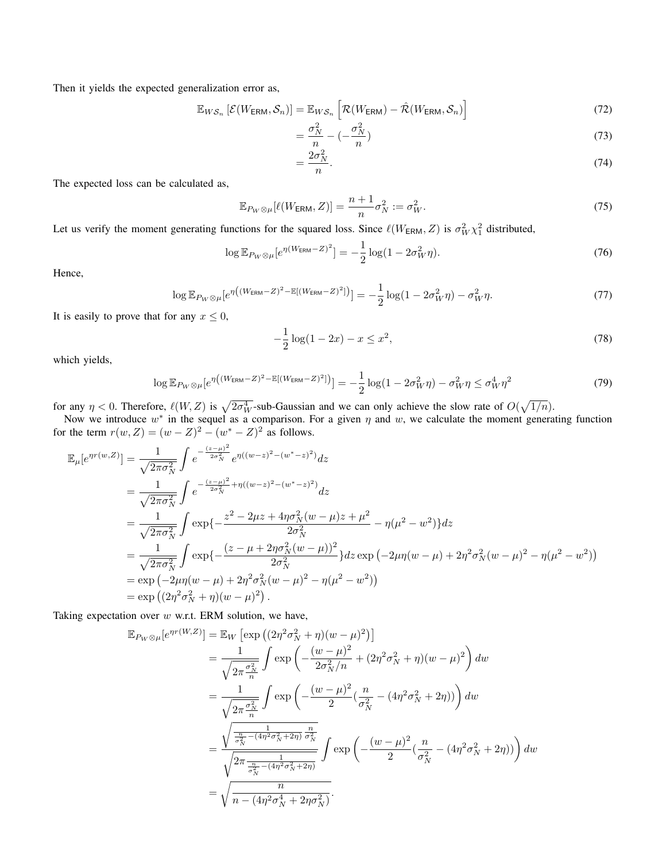Then it yields the expected generalization error as,

$$
\mathbb{E}_{WS_n}\left[\mathcal{E}(W_{\text{ERM}},\mathcal{S}_n)\right] = \mathbb{E}_{WS_n}\left[\mathcal{R}(W_{\text{ERM}}) - \hat{\mathcal{R}}(W_{\text{ERM}},\mathcal{S}_n)\right]
$$
(72)

$$
=\frac{\sigma_N^2}{n} - \left(-\frac{\sigma_N^2}{n}\right) \tag{73}
$$

$$
=\frac{2\sigma_N^2}{n}.\tag{74}
$$

The expected loss can be calculated as,

$$
\mathbb{E}_{P_W \otimes \mu}[\ell(W_{\text{ERM}}, Z)] = \frac{n+1}{n} \sigma_N^2 := \sigma_W^2.
$$
\n(75)

Let us verify the moment generating functions for the squared loss. Since  $\ell(W_{\text{ERM}}, Z)$  is  $\sigma_W^2 \chi_1^2$  distributed,

$$
\log \mathbb{E}_{P_W \otimes \mu} \left[ e^{\eta (W_{\text{ERM}} - Z)^2} \right] = -\frac{1}{2} \log(1 - 2\sigma_W^2 \eta). \tag{76}
$$

Hence,

$$
\log \mathbb{E}_{P_W \otimes \mu} \left[ e^{\eta \left( (W_{\text{ERM}} - Z)^2 - \mathbb{E}[(W_{\text{ERM}} - Z)^2] \right)} \right] = -\frac{1}{2} \log(1 - 2\sigma_W^2 \eta) - \sigma_W^2 \eta. \tag{77}
$$

It is easily to prove that for any  $x \leq 0$ ,

$$
-\frac{1}{2}\log(1-2x) - x \le x^2,\tag{78}
$$

which yields,

$$
\log \mathbb{E}_{P_W \otimes \mu} \left[ e^{\eta \left( (W_{\text{ERM}} - Z)^2 - \mathbb{E}[(W_{\text{ERM}} - Z)^2] \right)} \right] = -\frac{1}{2} \log(1 - 2\sigma_W^2 \eta) - \sigma_W^2 \eta \le \sigma_W^4 \eta^2 \tag{79}
$$

for any  $\eta < 0$ . Therefore,  $\ell(W, Z)$  is  $\sqrt{2\sigma_W^4}$ -sub-Gaussian and we can only achieve the slow rate of  $O(\sqrt{1/n})$ .

Now we introduce  $w^*$  in the sequel as a comparison. For a given  $\eta$  and  $w$ , we calculate the moment generating function for the term  $r(w, Z) = (w - Z)^2 - (w^* - Z)^2$  as follows.

$$
\mathbb{E}_{\mu}[e^{\eta r(w,Z)}] = \frac{1}{\sqrt{2\pi\sigma_N^2}} \int e^{-\frac{(z-\mu)^2}{2\sigma_N^2}} e^{\eta((w-z)^2 - (w^*-z)^2)} dz \n= \frac{1}{\sqrt{2\pi\sigma_N^2}} \int e^{-\frac{(z-\mu)^2}{2\sigma_N^2} + \eta((w-z)^2 - (w^*-z)^2)} dz \n= \frac{1}{\sqrt{2\pi\sigma_N^2}} \int \exp\{-\frac{z^2 - 2\mu z + 4\eta\sigma_N^2(w-\mu)z + \mu^2}{2\sigma_N^2} - \eta(\mu^2 - w^2)\} dz \n= \frac{1}{\sqrt{2\pi\sigma_N^2}} \int \exp\{-\frac{(z-\mu+2\eta\sigma_N^2(w-\mu))^2}{2\sigma_N^2}\} dz \exp(-2\mu\eta(w-\mu) + 2\eta^2\sigma_N^2(w-\mu)^2 - \eta(\mu^2 - w^2)) \n= \exp(-2\mu\eta(w-\mu) + 2\eta^2\sigma_N^2(w-\mu)^2 - \eta(\mu^2 - w^2)) \n= \exp((2\eta^2\sigma_N^2 + \eta)(w-\mu)^2).
$$

Taking expectation over  $w$  w.r.t. ERM solution, we have,

$$
\mathbb{E}_{P_{W}\otimes\mu}[e^{\eta r(W,Z)}] = \mathbb{E}_{W}\left[\exp\left((2\eta^{2}\sigma_{N}^{2} + \eta)(w - \mu)^{2}\right)\right]
$$
  
\n
$$
= \frac{1}{\sqrt{2\pi\frac{\sigma_{N}^{2}}{n}}}\int \exp\left(-\frac{(w - \mu)^{2}}{2\sigma_{N}^{2}/n} + (2\eta^{2}\sigma_{N}^{2} + \eta)(w - \mu)^{2}\right)dw
$$
  
\n
$$
= \frac{1}{\sqrt{2\pi\frac{\sigma_{N}^{2}}{n}}}\int \exp\left(-\frac{(w - \mu)^{2}}{2}(\frac{n}{\sigma_{N}^{2}} - (4\eta^{2}\sigma_{N}^{2} + 2\eta))\right)dw
$$
  
\n
$$
= \frac{\sqrt{\frac{n}{\sigma_{N}^{2}} - (4\eta^{2}\sigma_{N}^{2} + 2\eta)}\frac{n}{\sigma_{N}^{2}}}{\sqrt{2\pi\frac{n}{\sigma_{N}^{2}} - (4\eta^{2}\sigma_{N}^{2} + 2\eta)}}\int \exp\left(-\frac{(w - \mu)^{2}}{2}(\frac{n}{\sigma_{N}^{2}} - (4\eta^{2}\sigma_{N}^{2} + 2\eta))\right)dw
$$
  
\n
$$
= \sqrt{\frac{n}{n - (4\eta^{2}\sigma_{N}^{4} + 2\eta\sigma_{N}^{2})}}.
$$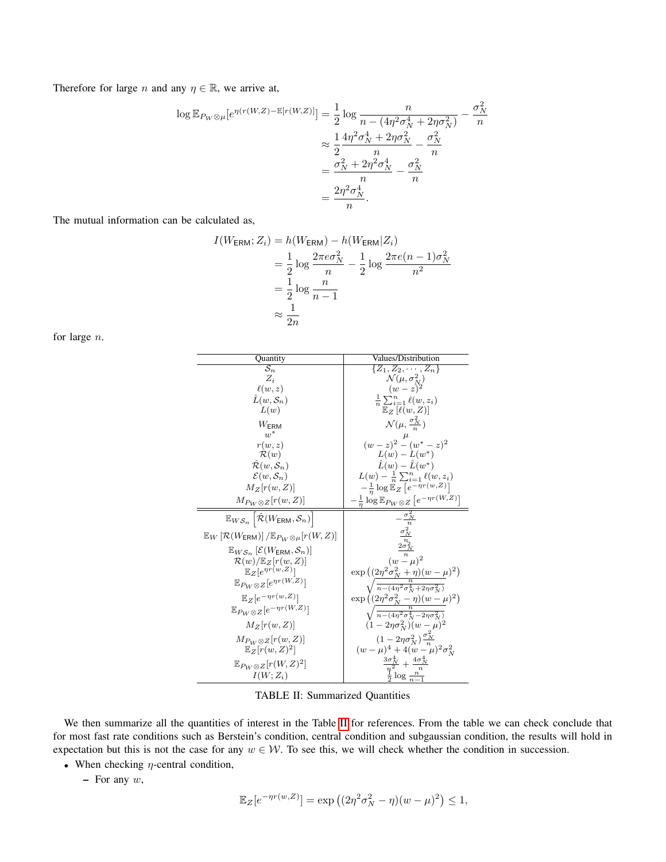Therefore for large *n* and any  $\eta \in \mathbb{R}$ , we arrive at,

$$
\log \mathbb{E}_{P_W \otimes \mu}[e^{\eta(r(W,Z) - \mathbb{E}[r(W,Z)]}] = \frac{1}{2} \log \frac{n}{n - (4\eta^2 \sigma_N^4 + 2\eta \sigma_N^2)} - \frac{\sigma_N^2}{n}
$$
  

$$
\approx \frac{1}{2} \frac{4\eta^2 \sigma_N^4 + 2\eta \sigma_N^2}{n} - \frac{\sigma_N^2}{n}
$$
  

$$
= \frac{\sigma_N^2 + 2\eta^2 \sigma_N^4}{n} - \frac{\sigma_N^2}{n}
$$
  

$$
= \frac{2\eta^2 \sigma_N^4}{n}.
$$

The mutual information can be calculated as,

$$
I(W_{\text{ERM}}; Z_i) = h(W_{\text{ERM}}) - h(W_{\text{ERM}}|Z_i)
$$
  
=  $\frac{1}{2} \log \frac{2\pi e \sigma_N^2}{n} - \frac{1}{2} \log \frac{2\pi e (n-1) \sigma_N^2}{n^2}$   
=  $\frac{1}{2} \log \frac{n}{n-1}$   
 $\approx \frac{1}{2n}$ 

<span id="page-13-0"></span>for large n.

| Quantity                                                                                  | Values/Distribution                                                                                              |
|-------------------------------------------------------------------------------------------|------------------------------------------------------------------------------------------------------------------|
| $\overline{\mathcal{S}_n}$                                                                | $\{Z_1, Z_2, \cdots, Z_n\}$                                                                                      |
| $Z_i$                                                                                     | $\mathcal{N}(\mu, \sigma_N^2)$<br>$(w-z)^2$                                                                      |
| $\ell(w,z)$                                                                               |                                                                                                                  |
| $\hat{L}(w,\mathcal{S}_n)$                                                                | $\frac{1}{n}\sum_{i=1}^n\ell(w,z_i)$                                                                             |
| L(w)                                                                                      | $\mathbb{E}_Z$ [ $\ell(w, Z)$ ]                                                                                  |
| $W_{\text{ERM}}$                                                                          | $\mathcal{N}(\mu, \frac{\sigma_N^2}{\sigma})$                                                                    |
| $w^*$                                                                                     | $(w-z)^2 - (w^* - z)^2$                                                                                          |
| r(w,z)                                                                                    |                                                                                                                  |
| $\mathcal{R}(w)$                                                                          | $L(w) - L(w^*)$                                                                                                  |
| $\mathcal{R}(w, \mathcal{S}_n)$                                                           | $\hat{L}(w) - \hat{L}(w^*)$                                                                                      |
| $\mathcal{E}(w, \mathcal{S}_n)$                                                           | $L(w) - \frac{1}{n} \sum_{i=1}^{n} \ell(w, z_i)$                                                                 |
| $M_Z[r(w,Z)]$                                                                             | $-\frac{1}{n}\log\mathbb{E}_Z\left[e^{-\eta r(w,Z)}\right]$                                                      |
| $M_{P_W\otimes Z}[r(w,Z)]$                                                                | $-\frac{1}{n}\log \mathbb{E}_{P_W\otimes Z}\left[e^{-\eta r(W,Z)}\right]$                                        |
| $\mathbb{E}_{W\mathcal{S}_n}\left[\hat{\mathcal{R}}(W_{\text{ERM}},\mathcal{S}_n)\right]$ |                                                                                                                  |
| $\mathbb{E}_W\left[\mathcal{R}(W_{\text{ERM}})\right]/\mathbb{E}_{P_W\otimes\mu}[r(W,Z)]$ | $\begin{array}{cc}\n-\frac{\sigma_N^2}{n}\\ \frac{\sigma_N^2}{n}\\ \frac{2\sigma_N^n}{n}\\ (w-\mu)^2\end{array}$ |
| $\mathbb{E}_{WS_n}\left[\mathcal{E}(W_{\text{ERM}},\mathcal{S}_n)\right]$                 |                                                                                                                  |
| $\mathcal{R}(w)/\mathbb{E}_Z[r(w,Z)]$                                                     |                                                                                                                  |
| $\mathbb{E}_Z[e^{\eta r(w,Z)}]$                                                           |                                                                                                                  |
| $\mathbb{E}_{P_W \otimes Z} [e^{\eta r(W,Z)}]$                                            | $\exp\left((2\eta^2\sigma_N^2+\eta)(w-\mu)^2\right)\\ \sqrt{\frac{n}{n-(4\eta^2\sigma_N^4+2\eta\sigma_N^2)}}$    |
| $\mathbb{E}_Z[e^{-\eta r(w,Z)}]$                                                          |                                                                                                                  |
| $\mathbb{E}_{P_W \otimes Z} [e^{-\eta r(W,Z)}]$                                           | $\exp\left((2\eta^2\sigma_N^2-\eta)(w-\mu)^2\right)$<br>$\sqrt{\frac{n}{n-(4\eta^2\sigma_N^4-2\eta\sigma_N^2)}}$ |
| $M_Z[r(w,Z)]$                                                                             | $(1 - 2\eta \sigma_N^2)(w - \mu)^2$                                                                              |
| $M_{P_W\otimes Z}[r(w,Z)]$                                                                | $(1-2\eta\sigma_N^2)\frac{\sigma_N}{n}$                                                                          |
| $\mathbb{E}_Z[r(w,Z)^2]$                                                                  | $(w - \mu)^4 + 4(w - \mu)^2 \sigma_N^2$                                                                          |
| $\mathbb{E}_{P_W \otimes Z}[r(W,Z)^2]$                                                    |                                                                                                                  |
| $I(W; Z_i)$                                                                               | $\frac{\frac{3\sigma_N^4}{n^2} + \frac{4\sigma_N^4}{n}}{\frac{1}{2}\log{\frac{n}{n-1}}}$                         |

TABLE II: Summarized Quantities

We then summarize all the quantities of interest in the Table [II](#page-13-0) for references. From the table we can check conclude that for most fast rate conditions such as Berstein's condition, central condition and subgaussian condition, the results will hold in expectation but this is not the case for any  $w \in W$ . To see this, we will check whether the condition in succession.

- When checking  $\eta$ -central condition,
	- $-$  For any  $w$ ,

$$
\mathbb{E}_Z[e^{-\eta r(w,Z)}] = \exp((2\eta^2 \sigma_N^2 - \eta)(w - \mu)^2) \le 1,
$$